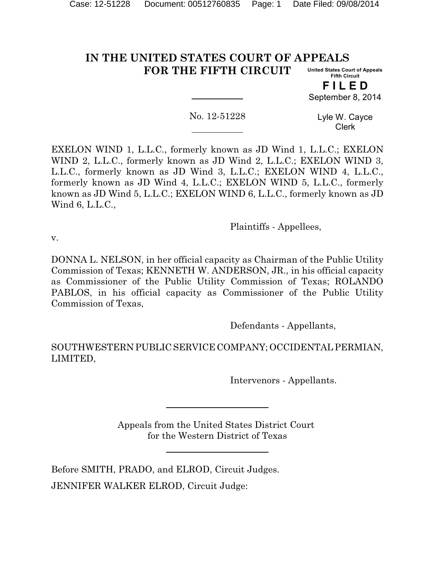#### **IN THE UNITED STATES COURT OF APPEALS FOR THE FIFTH CIRCUIT United States Court of Appeals Fifth Circuit**

**F I L E D** September 8, 2014

No. 12-51228

Lyle W. Cayce Clerk

EXELON WIND 1, L.L.C., formerly known as JD Wind 1, L.L.C.; EXELON WIND 2, L.L.C., formerly known as JD Wind 2, L.L.C.; EXELON WIND 3, L.L.C., formerly known as JD Wind 3, L.L.C.; EXELON WIND 4, L.L.C., formerly known as JD Wind 4, L.L.C.; EXELON WIND 5, L.L.C., formerly known as JD Wind 5, L.L.C.; EXELON WIND 6, L.L.C., formerly known as JD Wind 6, L.L.C.,

Plaintiffs - Appellees,

v.

DONNA L. NELSON, in her official capacity as Chairman of the Public Utility Commission of Texas; KENNETH W. ANDERSON, JR., in his official capacity as Commissioner of the Public Utility Commission of Texas; ROLANDO PABLOS, in his official capacity as Commissioner of the Public Utility Commission of Texas,

Defendants - Appellants,

SOUTHWESTERN PUBLIC SERVICE COMPANY; OCCIDENTAL PERMIAN, LIMITED,

Intervenors - Appellants.

Appeals from the United States District Court for the Western District of Texas

Before SMITH, PRADO, and ELROD, Circuit Judges. JENNIFER WALKER ELROD, Circuit Judge: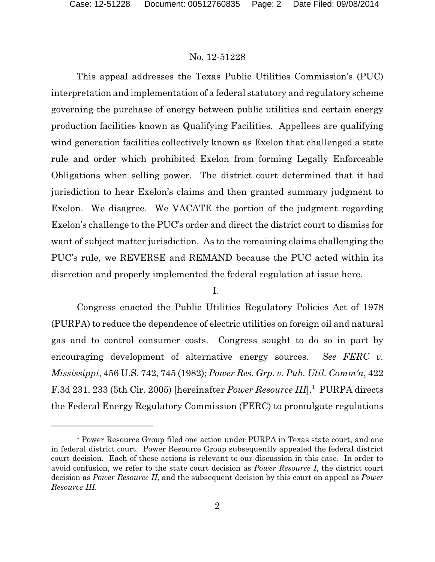This appeal addresses the Texas Public Utilities Commission's (PUC) interpretation and implementation of a federal statutory and regulatory scheme governing the purchase of energy between public utilities and certain energy production facilities known as Qualifying Facilities. Appellees are qualifying wind generation facilities collectively known as Exelon that challenged a state rule and order which prohibited Exelon from forming Legally Enforceable Obligations when selling power. The district court determined that it had jurisdiction to hear Exelon's claims and then granted summary judgment to Exelon. We disagree. We VACATE the portion of the judgment regarding Exelon's challenge to the PUC's order and direct the district court to dismiss for want of subject matter jurisdiction. As to the remaining claims challenging the PUC's rule, we REVERSE and REMAND because the PUC acted within its discretion and properly implemented the federal regulation at issue here.

## I.

Congress enacted the Public Utilities Regulatory Policies Act of 1978 (PURPA) to reduce the dependence of electric utilities on foreign oil and natural gas and to control consumer costs. Congress sought to do so in part by encouraging development of alternative energy sources. *See FERC v. Mississippi*, 456 U.S. 742, 745 (1982); *Power Res. Grp. v. Pub. Util. Comm'n*, 422 F.3d 231, 233 (5th Cir. 2005) [hereinafter *Power Resource III*].<sup>1</sup> PURPA directs the Federal Energy Regulatory Commission (FERC) to promulgate regulations

<sup>&</sup>lt;sup>1</sup> Power Resource Group filed one action under PURPA in Texas state court, and one in federal district court. Power Resource Group subsequently appealed the federal district court decision. Each of these actions is relevant to our discussion in this case. In order to avoid confusion, we refer to the state court decision as *Power Resource I*, the district court decision as *Power Resource II*, and the subsequent decision by this court on appeal as *Power Resource III*.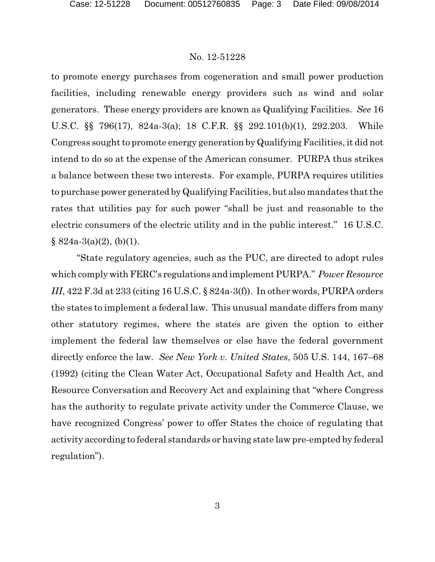to promote energy purchases from cogeneration and small power production facilities, including renewable energy providers such as wind and solar generators. These energy providers are known as Qualifying Facilities. *See* 16 U.S.C. §§ 796(17), 824a-3(a); 18 C.F.R. §§ 292.101(b)(1), 292.203. While Congress sought to promote energy generation by Qualifying Facilities, it did not intend to do so at the expense of the American consumer. PURPA thus strikes a balance between these two interests. For example, PURPA requires utilities to purchase power generated by Qualifying Facilities, but also mandates that the rates that utilities pay for such power "shall be just and reasonable to the electric consumers of the electric utility and in the public interest." 16 U.S.C.  $\S$  824a-3(a)(2), (b)(1).

"State regulatory agencies, such as the PUC, are directed to adopt rules which comply with FERC's regulations and implement PURPA." *Power Resource III*, 422 F.3d at 233 (citing 16 U.S.C. § 824a-3(f)). In other words, PURPA orders the states to implement a federal law. This unusual mandate differs from many other statutory regimes, where the states are given the option to either implement the federal law themselves or else have the federal government directly enforce the law. *See New York v. United States*, 505 U.S. 144, 167–68 (1992) (citing the Clean Water Act, Occupational Safety and Health Act, and Resource Conversation and Recovery Act and explaining that "where Congress has the authority to regulate private activity under the Commerce Clause, we have recognized Congress' power to offer States the choice of regulating that activity according to federal standards or having state law pre-empted by federal regulation").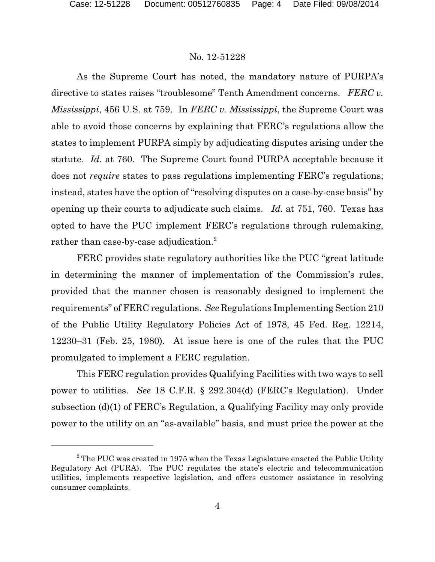As the Supreme Court has noted, the mandatory nature of PURPA's directive to states raises "troublesome" Tenth Amendment concerns. *FERC v. Mississippi*, 456 U.S. at 759. In *FERC v. Mississippi*, the Supreme Court was able to avoid those concerns by explaining that FERC's regulations allow the states to implement PURPA simply by adjudicating disputes arising under the statute. *Id.* at 760. The Supreme Court found PURPA acceptable because it does not *require* states to pass regulations implementing FERC's regulations; instead, states have the option of "resolving disputes on a case-by-case basis" by opening up their courts to adjudicate such claims. *Id.* at 751, 760. Texas has opted to have the PUC implement FERC's regulations through rulemaking, rather than case-by-case adjudication.<sup>2</sup>

FERC provides state regulatory authorities like the PUC "great latitude in determining the manner of implementation of the Commission's rules, provided that the manner chosen is reasonably designed to implement the requirements" of FERC regulations. *See* Regulations Implementing Section 210 of the Public Utility Regulatory Policies Act of 1978, 45 Fed. Reg. 12214, 12230–31 (Feb. 25, 1980). At issue here is one of the rules that the PUC promulgated to implement a FERC regulation.

This FERC regulation provides Qualifying Facilities with two ways to sell power to utilities. *See* 18 C.F.R. § 292.304(d) (FERC's Regulation). Under subsection (d)(1) of FERC's Regulation, a Qualifying Facility may only provide power to the utility on an "as-available" basis, and must price the power at the

 $2$ <sup>2</sup> The PUC was created in 1975 when the Texas Legislature enacted the Public Utility Regulatory Act (PURA). The PUC regulates the state's electric and telecommunication utilities, implements respective legislation, and offers customer assistance in resolving consumer complaints.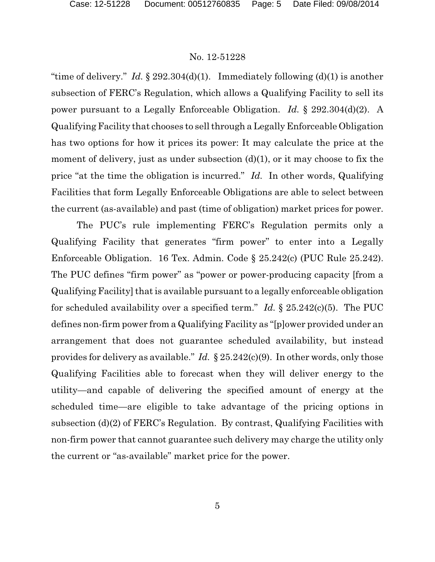"time of delivery." *Id.* § 292.304(d)(1). Immediately following (d)(1) is another subsection of FERC's Regulation, which allows a Qualifying Facility to sell its power pursuant to a Legally Enforceable Obligation. *Id.* § 292.304(d)(2). A Qualifying Facility that chooses to sell through a Legally Enforceable Obligation has two options for how it prices its power: It may calculate the price at the moment of delivery, just as under subsection (d)(1), or it may choose to fix the price "at the time the obligation is incurred." *Id.* In other words, Qualifying Facilities that form Legally Enforceable Obligations are able to select between the current (as-available) and past (time of obligation) market prices for power.

The PUC's rule implementing FERC's Regulation permits only a Qualifying Facility that generates "firm power" to enter into a Legally Enforceable Obligation. 16 Tex. Admin. Code § 25.242(c) (PUC Rule 25.242). The PUC defines "firm power" as "power or power-producing capacity [from a Qualifying Facility] that is available pursuant to a legally enforceable obligation for scheduled availability over a specified term." *Id.* § 25.242(c)(5). The PUC defines non-firm power from a Qualifying Facility as "[p]ower provided under an arrangement that does not guarantee scheduled availability, but instead provides for delivery as available." *Id.* § 25.242(c)(9). In other words, only those Qualifying Facilities able to forecast when they will deliver energy to the utility—and capable of delivering the specified amount of energy at the scheduled time—are eligible to take advantage of the pricing options in subsection (d)(2) of FERC's Regulation. By contrast, Qualifying Facilities with non-firm power that cannot guarantee such delivery may charge the utility only the current or "as-available" market price for the power.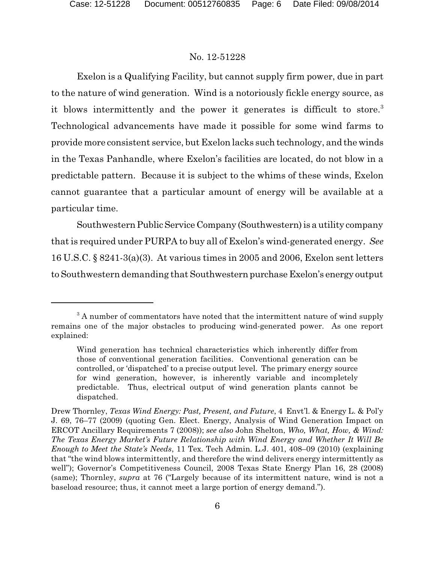Exelon is a Qualifying Facility, but cannot supply firm power, due in part to the nature of wind generation. Wind is a notoriously fickle energy source, as it blows intermittently and the power it generates is difficult to store.<sup>3</sup> Technological advancements have made it possible for some wind farms to provide more consistent service, but Exelon lacks such technology, and the winds in the Texas Panhandle, where Exelon's facilities are located, do not blow in a predictable pattern. Because it is subject to the whims of these winds, Exelon cannot guarantee that a particular amount of energy will be available at a particular time.

Southwestern Public Service Company (Southwestern) is a utility company that is required under PURPA to buy all of Exelon's wind-generated energy. *See* 16 U.S.C. § 8241-3(a)(3). At various times in 2005 and 2006, Exelon sent letters to Southwestern demanding that Southwestern purchase Exelon's energy output

<sup>&</sup>lt;sup>3</sup> A number of commentators have noted that the intermittent nature of wind supply remains one of the major obstacles to producing wind-generated power. As one report explained:

Wind generation has technical characteristics which inherently differ from those of conventional generation facilities. Conventional generation can be controlled, or 'dispatched' to a precise output level. The primary energy source for wind generation, however, is inherently variable and incompletely predictable. Thus, electrical output of wind generation plants cannot be dispatched.

Drew Thornley, *Texas Wind Energy: Past, Present, and Future*, 4 Envt'l. & Energy L. & Pol'y J. 69, 76–77 (2009) (quoting Gen. Elect. Energy, Analysis of Wind Generation Impact on ERCOT Ancillary Requirements 7 (2008)); *see also* John Shelton, *Who, What, How, & Wind: The Texas Energy Market's Future Relationship with Wind Energy and Whether It Will Be Enough to Meet the State's Needs*, 11 Tex. Tech Admin. L.J. 401, 408–09 (2010) (explaining that "the wind blows intermittently, and therefore the wind delivers energy intermittently as well"); Governor's Competitiveness Council, 2008 Texas State Energy Plan 16, 28 (2008) (same); Thornley, *supra* at 76 ("Largely because of its intermittent nature, wind is not a baseload resource; thus, it cannot meet a large portion of energy demand.").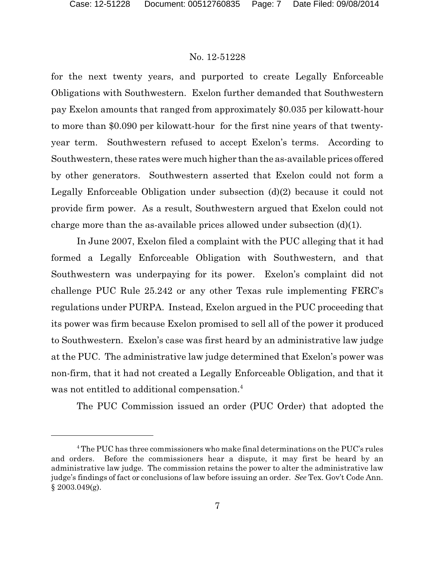for the next twenty years, and purported to create Legally Enforceable Obligations with Southwestern. Exelon further demanded that Southwestern pay Exelon amounts that ranged from approximately \$0.035 per kilowatt-hour to more than \$0.090 per kilowatt-hour for the first nine years of that twentyyear term. Southwestern refused to accept Exelon's terms. According to Southwestern, these rates were much higher than the as-available prices offered by other generators. Southwestern asserted that Exelon could not form a Legally Enforceable Obligation under subsection (d)(2) because it could not provide firm power. As a result, Southwestern argued that Exelon could not charge more than the as-available prices allowed under subsection (d)(1).

In June 2007, Exelon filed a complaint with the PUC alleging that it had formed a Legally Enforceable Obligation with Southwestern, and that Southwestern was underpaying for its power. Exelon's complaint did not challenge PUC Rule 25.242 or any other Texas rule implementing FERC's regulations under PURPA. Instead, Exelon argued in the PUC proceeding that its power was firm because Exelon promised to sell all of the power it produced to Southwestern. Exelon's case was first heard by an administrative law judge at the PUC. The administrative law judge determined that Exelon's power was non-firm, that it had not created a Legally Enforceable Obligation, and that it was not entitled to additional compensation.<sup>4</sup>

The PUC Commission issued an order (PUC Order) that adopted the

<sup>&</sup>lt;sup>4</sup> The PUC has three commissioners who make final determinations on the PUC's rules and orders. Before the commissioners hear a dispute, it may first be heard by an administrative law judge. The commission retains the power to alter the administrative law judge's findings of fact or conclusions of law before issuing an order. *See* Tex. Gov't Code Ann.  $§$  2003.049(g).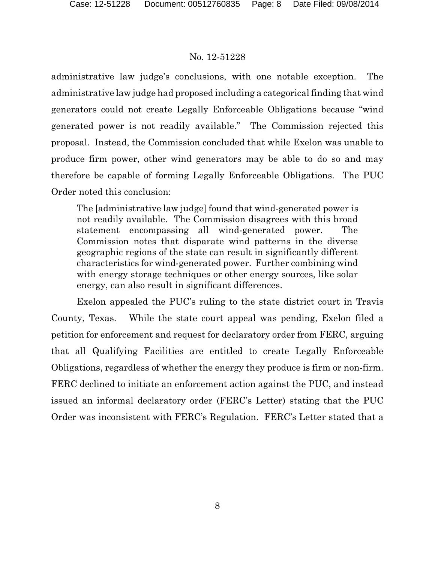administrative law judge's conclusions, with one notable exception. The administrative law judge had proposed including a categorical finding that wind generators could not create Legally Enforceable Obligations because "wind generated power is not readily available." The Commission rejected this proposal. Instead, the Commission concluded that while Exelon was unable to produce firm power, other wind generators may be able to do so and may therefore be capable of forming Legally Enforceable Obligations. The PUC Order noted this conclusion:

The [administrative law judge] found that wind-generated power is not readily available. The Commission disagrees with this broad statement encompassing all wind-generated power. The Commission notes that disparate wind patterns in the diverse geographic regions of the state can result in significantly different characteristics for wind-generated power. Further combining wind with energy storage techniques or other energy sources, like solar energy, can also result in significant differences.

Exelon appealed the PUC's ruling to the state district court in Travis County, Texas. While the state court appeal was pending, Exelon filed a petition for enforcement and request for declaratory order from FERC, arguing that all Qualifying Facilities are entitled to create Legally Enforceable Obligations, regardless of whether the energy they produce is firm or non-firm. FERC declined to initiate an enforcement action against the PUC, and instead issued an informal declaratory order (FERC's Letter) stating that the PUC Order was inconsistent with FERC's Regulation. FERC's Letter stated that a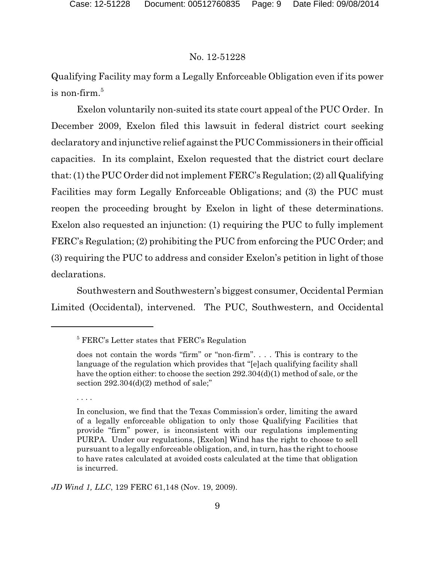Qualifying Facility may form a Legally Enforceable Obligation even if its power  $\,$  is non-firm. $^5$ 

Exelon voluntarily non-suited its state court appeal of the PUC Order. In December 2009, Exelon filed this lawsuit in federal district court seeking declaratory and injunctive relief against thePUC Commissioners in their official capacities. In its complaint, Exelon requested that the district court declare that: (1) the PUC Order did not implement FERC's Regulation; (2) all Qualifying Facilities may form Legally Enforceable Obligations; and (3) the PUC must reopen the proceeding brought by Exelon in light of these determinations. Exelon also requested an injunction: (1) requiring the PUC to fully implement FERC's Regulation; (2) prohibiting the PUC from enforcing the PUC Order; and (3) requiring the PUC to address and consider Exelon's petition in light of those declarations.

Southwestern and Southwestern's biggest consumer, Occidental Permian Limited (Occidental), intervened. The PUC, Southwestern, and Occidental

*JD Wind 1, LLC*, 129 FERC 61,148 (Nov. 19, 2009).

<sup>5</sup> FERC's Letter states that FERC's Regulation

does not contain the words "firm" or "non-firm". . . . This is contrary to the language of the regulation which provides that "[e]ach qualifying facility shall have the option either: to choose the section 292.304(d)(1) method of sale, or the section  $292.304(d)(2)$  method of sale;"

<sup>. .</sup> . .

In conclusion, we find that the Texas Commission's order, limiting the award of a legally enforceable obligation to only those Qualifying Facilities that provide "firm" power, is inconsistent with our regulations implementing PURPA. Under our regulations, [Exelon] Wind has the right to choose to sell pursuant to a legally enforceable obligation, and, in turn, has the right to choose to have rates calculated at avoided costs calculated at the time that obligation is incurred.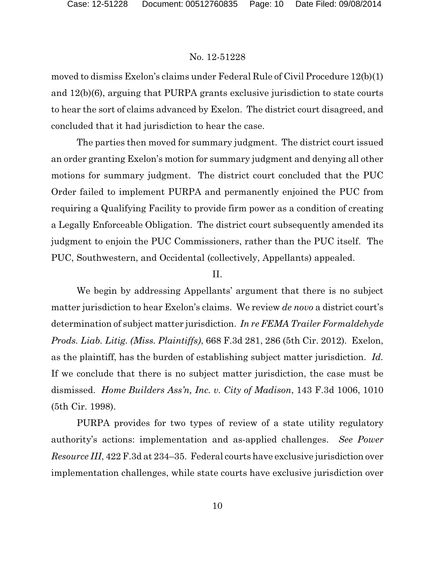moved to dismiss Exelon's claims under Federal Rule of Civil Procedure 12(b)(1) and 12(b)(6), arguing that PURPA grants exclusive jurisdiction to state courts to hear the sort of claims advanced by Exelon. The district court disagreed, and concluded that it had jurisdiction to hear the case.

The parties then moved for summary judgment. The district court issued an order granting Exelon's motion for summary judgment and denying all other motions for summary judgment. The district court concluded that the PUC Order failed to implement PURPA and permanently enjoined the PUC from requiring a Qualifying Facility to provide firm power as a condition of creating a Legally Enforceable Obligation. The district court subsequently amended its judgment to enjoin the PUC Commissioners, rather than the PUC itself. The PUC, Southwestern, and Occidental (collectively, Appellants) appealed.

# II.

We begin by addressing Appellants' argument that there is no subject matter jurisdiction to hear Exelon's claims. We review *de novo* a district court's determination of subject matter jurisdiction. *In re FEMA Trailer Formaldehyde Prods. Liab. Litig. (Miss. Plaintiffs)*, 668 F.3d 281, 286 (5th Cir. 2012). Exelon, as the plaintiff, has the burden of establishing subject matter jurisdiction. *Id.*  If we conclude that there is no subject matter jurisdiction, the case must be dismissed. *Home Builders Ass'n, Inc. v. City of Madison*, 143 F.3d 1006, 1010 (5th Cir. 1998).

PURPA provides for two types of review of a state utility regulatory authority's actions: implementation and as-applied challenges. *See Power Resource III*, 422 F.3d at 234–35. Federal courts have exclusive jurisdiction over implementation challenges, while state courts have exclusive jurisdiction over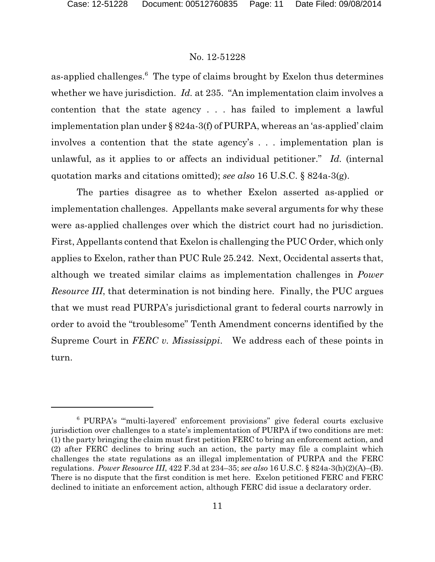as-applied challenges.<sup>6</sup> The type of claims brought by Exelon thus determines whether we have jurisdiction. *Id.* at 235. "An implementation claim involves a contention that the state agency . . . has failed to implement a lawful implementation plan under § 824a-3(f) of PURPA, whereas an 'as-applied' claim involves a contention that the state agency's . . . implementation plan is unlawful, as it applies to or affects an individual petitioner." *Id.* (internal quotation marks and citations omitted); *see also* 16 U.S.C. § 824a-3(g).

The parties disagree as to whether Exelon asserted as-applied or implementation challenges. Appellants make several arguments for why these were as-applied challenges over which the district court had no jurisdiction. First, Appellants contend that Exelon is challenging the PUC Order, which only applies to Exelon, rather than PUC Rule 25.242. Next, Occidental asserts that, although we treated similar claims as implementation challenges in *Power Resource III*, that determination is not binding here. Finally, the PUC argues that we must read PURPA's jurisdictional grant to federal courts narrowly in order to avoid the "troublesome" Tenth Amendment concerns identified by the Supreme Court in *FERC v. Mississippi*. We address each of these points in turn.

<sup>6</sup> PURPA's "'multi-layered' enforcement provisions" give federal courts exclusive jurisdiction over challenges to a state's implementation of PURPA if two conditions are met: (1) the party bringing the claim must first petition FERC to bring an enforcement action, and (2) after FERC declines to bring such an action, the party may file a complaint which challenges the state regulations as an illegal implementation of PURPA and the FERC regulations. *Power Resource III*, 422 F.3d at 234–35; *see also* 16 U.S.C. § 824a-3(h)(2)(A)–(B). There is no dispute that the first condition is met here. Exelon petitioned FERC and FERC declined to initiate an enforcement action, although FERC did issue a declaratory order.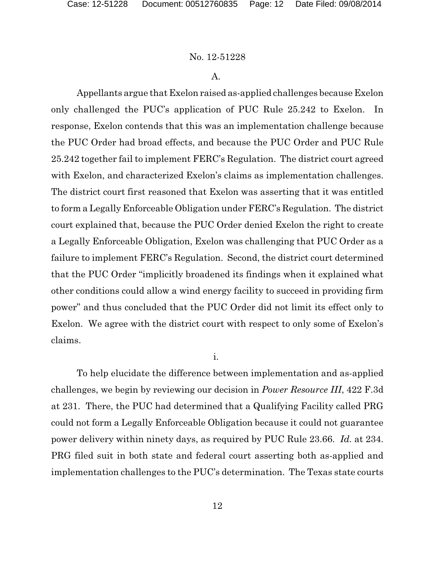# A.

Appellants argue that Exelon raised as-applied challenges because Exelon only challenged the PUC's application of PUC Rule 25.242 to Exelon. In response, Exelon contends that this was an implementation challenge because the PUC Order had broad effects, and because the PUC Order and PUC Rule 25.242 together fail to implement FERC's Regulation. The district court agreed with Exelon, and characterized Exelon's claims as implementation challenges. The district court first reasoned that Exelon was asserting that it was entitled to form a Legally Enforceable Obligation under FERC's Regulation. The district court explained that, because the PUC Order denied Exelon the right to create a Legally Enforceable Obligation, Exelon was challenging that PUC Order as a failure to implement FERC's Regulation. Second, the district court determined that the PUC Order "implicitly broadened its findings when it explained what other conditions could allow a wind energy facility to succeed in providing firm power" and thus concluded that the PUC Order did not limit its effect only to Exelon. We agree with the district court with respect to only some of Exelon's claims.

### i.

To help elucidate the difference between implementation and as-applied challenges, we begin by reviewing our decision in *Power Resource III*, 422 F.3d at 231. There, the PUC had determined that a Qualifying Facility called PRG could not form a Legally Enforceable Obligation because it could not guarantee power delivery within ninety days, as required by PUC Rule 23.66. *Id.* at 234. PRG filed suit in both state and federal court asserting both as-applied and implementation challenges to the PUC's determination. The Texas state courts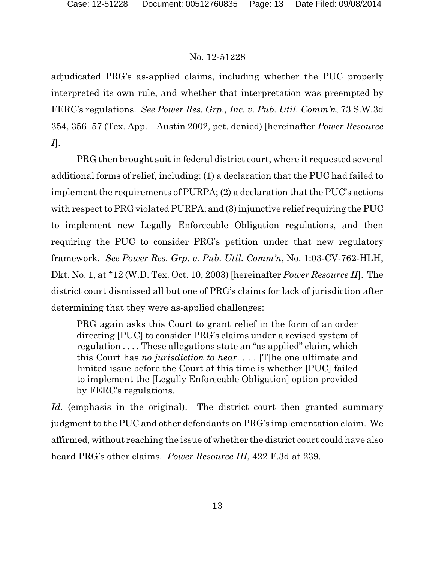adjudicated PRG's as-applied claims, including whether the PUC properly interpreted its own rule, and whether that interpretation was preempted by FERC's regulations. *See Power Res. Grp., Inc. v. Pub. Util. Comm'n*, 73 S.W.3d 354, 356–57 (Tex. App.—Austin 2002, pet. denied) [hereinafter *Power Resource I*].

PRG then brought suit in federal district court, where it requested several additional forms of relief, including: (1) a declaration that the PUC had failed to implement the requirements of PURPA; (2) a declaration that the PUC's actions with respect to PRG violated PURPA; and (3) injunctive relief requiring the PUC to implement new Legally Enforceable Obligation regulations, and then requiring the PUC to consider PRG's petition under that new regulatory framework. *See Power Res. Grp. v. Pub. Util. Comm'n*, No. 1:03-CV-762-HLH, Dkt. No. 1, at \*12 (W.D. Tex. Oct. 10, 2003) [hereinafter *Power Resource II*]. The district court dismissed all but one of PRG's claims for lack of jurisdiction after determining that they were as-applied challenges:

PRG again asks this Court to grant relief in the form of an order directing [PUC] to consider PRG's claims under a revised system of regulation . . . . These allegations state an "as applied" claim, which this Court has *no jurisdiction to hear*. . . . [T]he one ultimate and limited issue before the Court at this time is whether [PUC] failed to implement the [Legally Enforceable Obligation] option provided by FERC's regulations.

Id. (emphasis in the original). The district court then granted summary judgment to the PUC and other defendants on PRG's implementation claim. We affirmed, without reaching the issue of whether the district court could have also heard PRG's other claims. *Power Resource III*, 422 F.3d at 239.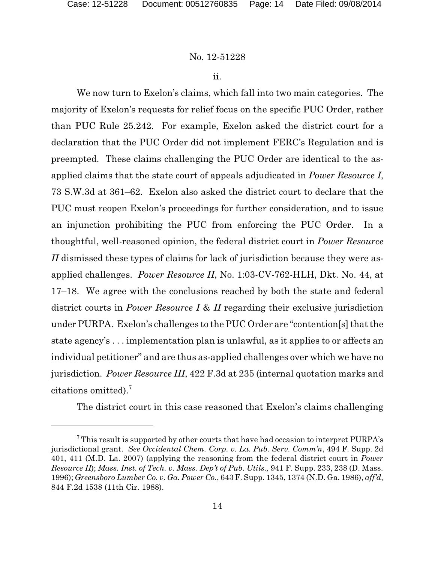ii.

We now turn to Exelon's claims, which fall into two main categories. The majority of Exelon's requests for relief focus on the specific PUC Order, rather than PUC Rule 25.242. For example, Exelon asked the district court for a declaration that the PUC Order did not implement FERC's Regulation and is preempted. These claims challenging the PUC Order are identical to the asapplied claims that the state court of appeals adjudicated in *Power Resource I*, 73 S.W.3d at 361–62. Exelon also asked the district court to declare that the PUC must reopen Exelon's proceedings for further consideration, and to issue an injunction prohibiting the PUC from enforcing the PUC Order. In a thoughtful, well-reasoned opinion, the federal district court in *Power Resource II* dismissed these types of claims for lack of jurisdiction because they were asapplied challenges. *Power Resource II*, No. 1:03-CV-762-HLH, Dkt. No. 44, at 17–18. We agree with the conclusions reached by both the state and federal district courts in *Power Resource I* & *II* regarding their exclusive jurisdiction under PURPA. Exelon's challenges to the PUC Order are "contention[s] that the state agency's . . . implementation plan is unlawful, as it applies to or affects an individual petitioner" and are thus as-applied challenges over which we have no jurisdiction. *Power Resource III*, 422 F.3d at 235 (internal quotation marks and citations omitted).<sup>7</sup>

The district court in this case reasoned that Exelon's claims challenging

 $7$  This result is supported by other courts that have had occasion to interpret PURPA's jurisdictional grant. *See Occidental Chem. Corp. v. La. Pub. Serv. Comm'n*, 494 F. Supp. 2d 401, 411 (M.D. La. 2007) (applying the reasoning from the federal district court in *Power Resource II*); *Mass. Inst. of Tech. v. Mass. Dep't of Pub. Utils.,* 941 F. Supp. 233, 238 (D. Mass. 1996); *Greensboro Lumber Co. v. Ga. Power Co.*, 643 F. Supp. 1345, 1374 (N.D. Ga. 1986), *aff'd*, 844 F.2d 1538 (11th Cir. 1988).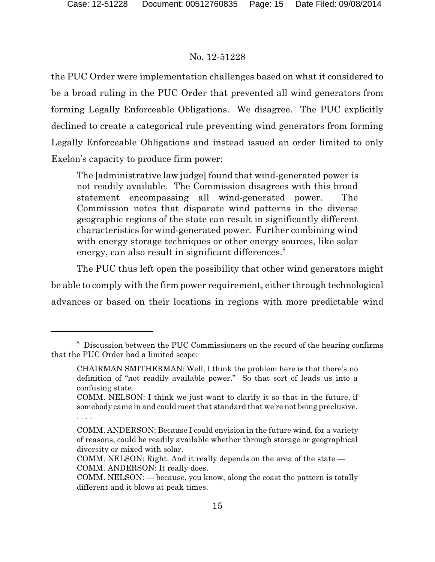the PUC Order were implementation challenges based on what it considered to be a broad ruling in the PUC Order that prevented all wind generators from forming Legally Enforceable Obligations. We disagree. The PUC explicitly declined to create a categorical rule preventing wind generators from forming Legally Enforceable Obligations and instead issued an order limited to only Exelon's capacity to produce firm power:

The [administrative law judge] found that wind-generated power is not readily available. The Commission disagrees with this broad statement encompassing all wind-generated power. The Commission notes that disparate wind patterns in the diverse geographic regions of the state can result in significantly different characteristics for wind-generated power. Further combining wind with energy storage techniques or other energy sources, like solar energy, can also result in significant differences.<sup>8</sup>

The PUC thus left open the possibility that other wind generators might be able to comply with the firm power requirement, either through technological advances or based on their locations in regions with more predictable wind

<sup>8</sup> Discussion between the PUC Commissioners on the record of the hearing confirms that the PUC Order had a limited scope:

CHAIRMAN SMITHERMAN: Well, I think the problem here is that there's no definition of "not readily available power." So that sort of leads us into a confusing state.

COMM. NELSON: I think we just want to clarify it so that in the future, if somebody came in and could meet that standard that we're not being preclusive. . . . .

COMM. ANDERSON: Because I could envision in the future wind, for a variety of reasons, could be readily available whether through storage or geographical diversity or mixed with solar.

COMM. NELSON: Right. And it really depends on the area of the state — COMM. ANDERSON: It really does.

COMM. NELSON: — because, you know, along the coast the pattern is totally different and it blows at peak times.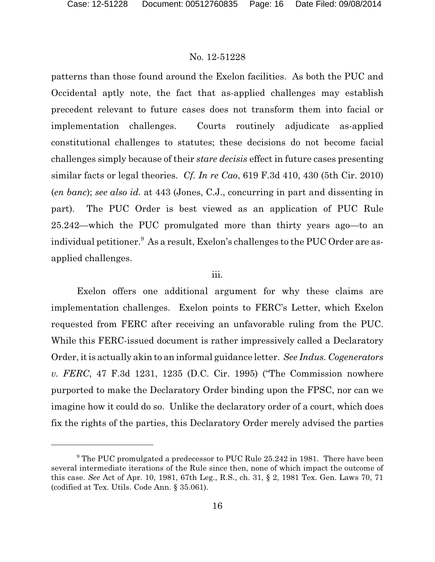patterns than those found around the Exelon facilities. As both the PUC and Occidental aptly note, the fact that as-applied challenges may establish precedent relevant to future cases does not transform them into facial or implementation challenges. Courts routinely adjudicate as-applied constitutional challenges to statutes; these decisions do not become facial challenges simply because of their *stare decisis* effect in future cases presenting similar facts or legal theories. *Cf. In re Cao*, 619 F.3d 410, 430 (5th Cir. 2010) (*en banc*); *see also id.* at 443 (Jones, C.J., concurring in part and dissenting in part). The PUC Order is best viewed as an application of PUC Rule 25.242—which the PUC promulgated more than thirty years ago—to an individual petitioner.<sup>9</sup> As a result, Exelon's challenges to the PUC Order are asapplied challenges.

## iii.

Exelon offers one additional argument for why these claims are implementation challenges. Exelon points to FERC's Letter, which Exelon requested from FERC after receiving an unfavorable ruling from the PUC. While this FERC-issued document is rather impressively called a Declaratory Order, itis actually akin to an informal guidance letter. *See Indus. Cogenerators v. FERC*, 47 F.3d 1231, 1235 (D.C. Cir. 1995) ("The Commission nowhere purported to make the Declaratory Order binding upon the FPSC, nor can we imagine how it could do so. Unlike the declaratory order of a court, which does fix the rights of the parties, this Declaratory Order merely advised the parties

<sup>&</sup>lt;sup>9</sup> The PUC promulgated a predecessor to PUC Rule 25.242 in 1981. There have been several intermediate iterations of the Rule since then, none of which impact the outcome of this case. *See* Act of Apr. 10, 1981, 67th Leg., R.S., ch. 31, § 2, 1981 Tex. Gen. Laws 70, 71 (codified at Tex. Utils. Code Ann. § 35.061).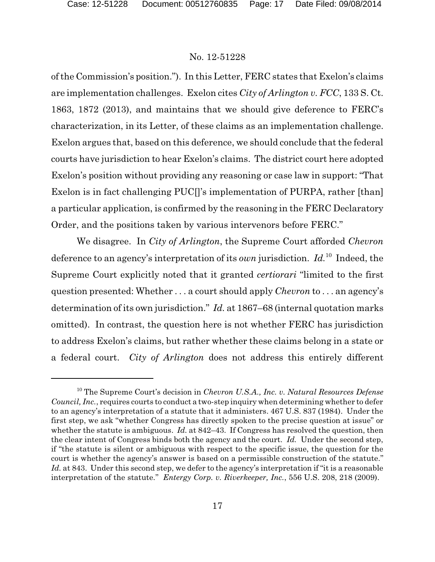of the Commission's position."). In this Letter, FERC states that Exelon's claims are implementation challenges. Exelon cites *City of Arlington v. FCC*, 133 S. Ct. 1863, 1872 (2013), and maintains that we should give deference to FERC's characterization, in its Letter, of these claims as an implementation challenge. Exelon argues that, based on this deference, we should conclude that the federal courts have jurisdiction to hear Exelon's claims. The district court here adopted Exelon's position without providing any reasoning or case law in support: "That Exelon is in fact challenging PUC[]'s implementation of PURPA, rather [than] a particular application, is confirmed by the reasoning in the FERC Declaratory Order, and the positions taken by various intervenors before FERC."

We disagree. In *City of Arlington*, the Supreme Court afforded *Chevron* deference to an agency's interpretation of its *own* jurisdiction. *Id.*<sup>10</sup> Indeed, the Supreme Court explicitly noted that it granted *certiorari* "limited to the first question presented: Whether . . . a court should apply *Chevron* to . . . an agency's determination of its own jurisdiction." *Id.* at 1867–68 (internal quotation marks omitted). In contrast, the question here is not whether FERC has jurisdiction to address Exelon's claims, but rather whether these claims belong in a state or a federal court. *City of Arlington* does not address this entirely different

<sup>10</sup> The Supreme Court's decision in *Chevron U.S.A., Inc. v. Natural Resources Defense Council, Inc.*, requires courts to conduct a two-step inquiry when determining whether to defer to an agency's interpretation of a statute that it administers. 467 U.S. 837 (1984). Under the first step, we ask "whether Congress has directly spoken to the precise question at issue" or whether the statute is ambiguous. *Id.* at 842–43. If Congress has resolved the question, then the clear intent of Congress binds both the agency and the court. *Id.* Under the second step, if "the statute is silent or ambiguous with respect to the specific issue, the question for the court is whether the agency's answer is based on a permissible construction of the statute." Id. at 843. Under this second step, we defer to the agency's interpretation if "it is a reasonable" interpretation of the statute." *Entergy Corp. v. Riverkeeper, Inc.*, 556 U.S. 208, 218 (2009).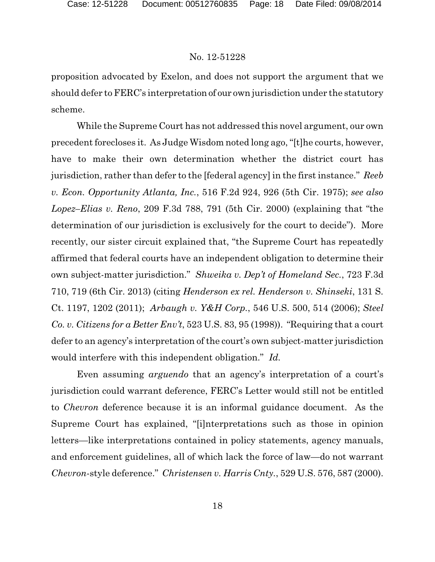proposition advocated by Exelon, and does not support the argument that we should defer to FERC's interpretation of our own jurisdiction under the statutory scheme.

While the Supreme Court has not addressed this novel argument, our own precedent forecloses it. As Judge Wisdom noted long ago, "[t]he courts, however, have to make their own determination whether the district court has jurisdiction, rather than defer to the [federal agency] in the first instance." *Reeb v. Econ. Opportunity Atlanta, Inc.*, 516 F.2d 924, 926 (5th Cir. 1975); *see also Lopez–Elias v. Reno*, 209 F.3d 788, 791 (5th Cir. 2000) (explaining that "the determination of our jurisdiction is exclusively for the court to decide"). More recently, our sister circuit explained that, "the Supreme Court has repeatedly affirmed that federal courts have an independent obligation to determine their own subject-matter jurisdiction." *Shweika v. Dep't of Homeland Sec.*, 723 F.3d 710, 719 (6th Cir. 2013) (citing *Henderson ex rel. Henderson v. Shinseki*, 131 S. Ct. 1197, 1202 (2011); *Arbaugh v. Y&H Corp.*, 546 U.S. 500, 514 (2006); *Steel Co. v. Citizens for a Better Env't*, 523 U.S. 83, 95 (1998)). "Requiring that a court defer to an agency's interpretation of the court's own subject-matter jurisdiction would interfere with this independent obligation." *Id.* 

Even assuming *arguendo* that an agency's interpretation of a court's jurisdiction could warrant deference, FERC's Letter would still not be entitled to *Chevron* deference because it is an informal guidance document. As the Supreme Court has explained, "[i]nterpretations such as those in opinion letters—like interpretations contained in policy statements, agency manuals, and enforcement guidelines, all of which lack the force of law—do not warrant *Chevron*-style deference." *Christensen v. Harris Cnty.*, 529 U.S. 576, 587 (2000).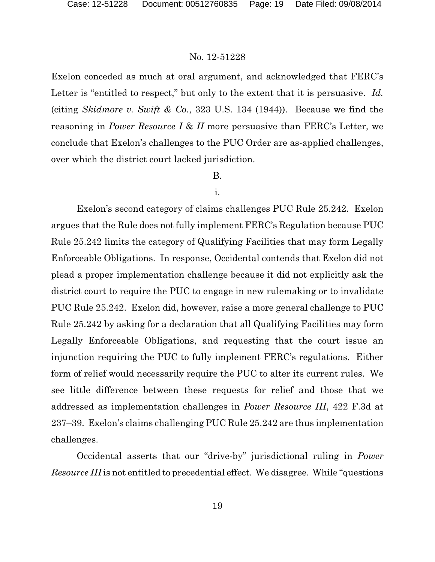Exelon conceded as much at oral argument, and acknowledged that FERC's Letter is "entitled to respect," but only to the extent that it is persuasive. *Id.* (citing *Skidmore v. Swift & Co.*, 323 U.S. 134 (1944)). Because we find the reasoning in *Power Resource I* & *II* more persuasive than FERC's Letter, we conclude that Exelon's challenges to the PUC Order are as-applied challenges, over which the district court lacked jurisdiction.

# B.

# i.

Exelon's second category of claims challenges PUC Rule 25.242. Exelon argues that the Rule does not fully implement FERC's Regulation because PUC Rule 25.242 limits the category of Qualifying Facilities that may form Legally Enforceable Obligations. In response, Occidental contends that Exelon did not plead a proper implementation challenge because it did not explicitly ask the district court to require the PUC to engage in new rulemaking or to invalidate PUC Rule 25.242. Exelon did, however, raise a more general challenge to PUC Rule 25.242 by asking for a declaration that all Qualifying Facilities may form Legally Enforceable Obligations, and requesting that the court issue an injunction requiring the PUC to fully implement FERC's regulations. Either form of relief would necessarily require the PUC to alter its current rules. We see little difference between these requests for relief and those that we addressed as implementation challenges in *Power Resource III*, 422 F.3d at 237–39. Exelon's claims challenging PUC Rule 25.242 are thus implementation challenges.

Occidental asserts that our "drive-by" jurisdictional ruling in *Power Resource III* is not entitled to precedential effect. We disagree. While "questions"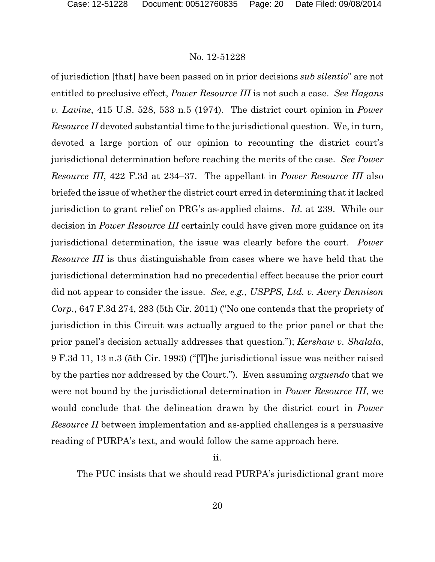of jurisdiction [that] have been passed on in prior decisions *sub silentio*" are not entitled to preclusive effect, *Power Resource III* is not such a case. *See Hagans v. Lavine*, 415 U.S. 528, 533 n.5 (1974). The district court opinion in *Power Resource II* devoted substantial time to the jurisdictional question. We, in turn, devoted a large portion of our opinion to recounting the district court's jurisdictional determination before reaching the merits of the case. *See Power Resource III*, 422 F.3d at 234–37. The appellant in *Power Resource III* also briefed the issue of whether the district court erred in determining that it lacked jurisdiction to grant relief on PRG's as-applied claims. *Id.* at 239. While our decision in *Power Resource III* certainly could have given more guidance on its jurisdictional determination, the issue was clearly before the court. *Power Resource III* is thus distinguishable from cases where we have held that the jurisdictional determination had no precedential effect because the prior court did not appear to consider the issue. *See, e.g.*, *USPPS, Ltd. v. Avery Dennison Corp.*, 647 F.3d 274, 283 (5th Cir. 2011) ("No one contends that the propriety of jurisdiction in this Circuit was actually argued to the prior panel or that the prior panel's decision actually addresses that question."); *Kershaw v. Shalala*, 9 F.3d 11, 13 n.3 (5th Cir. 1993) ("[T]he jurisdictional issue was neither raised by the parties nor addressed by the Court."). Even assuming *arguendo* that we were not bound by the jurisdictional determination in *Power Resource III*, we would conclude that the delineation drawn by the district court in *Power Resource II* between implementation and as-applied challenges is a persuasive reading of PURPA's text, and would follow the same approach here.

ii.

The PUC insists that we should read PURPA's jurisdictional grant more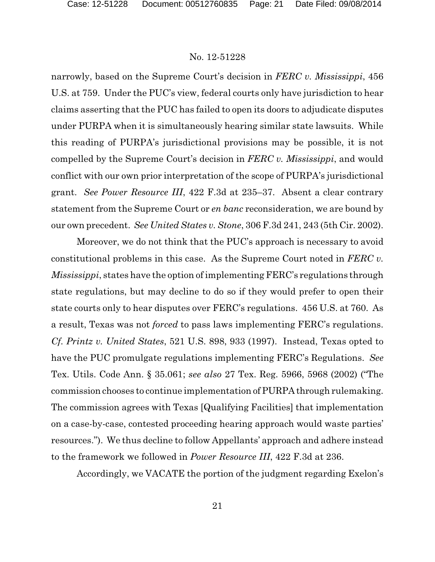narrowly, based on the Supreme Court's decision in *FERC v. Mississippi*, 456 U.S. at 759. Under the PUC's view, federal courts only have jurisdiction to hear claims asserting that the PUC has failed to open its doors to adjudicate disputes under PURPA when it is simultaneously hearing similar state lawsuits. While this reading of PURPA's jurisdictional provisions may be possible, it is not compelled by the Supreme Court's decision in *FERC v. Mississippi*, and would conflict with our own prior interpretation of the scope of PURPA's jurisdictional grant. *See Power Resource III*, 422 F.3d at 235–37. Absent a clear contrary statement from the Supreme Court or *en banc* reconsideration, we are bound by our own precedent. *See United States v. Stone*, 306 F.3d 241, 243 (5th Cir. 2002).

Moreover, we do not think that the PUC's approach is necessary to avoid constitutional problems in this case. As the Supreme Court noted in *FERC v. Mississippi*, states have the option of implementing FERC's regulations through state regulations, but may decline to do so if they would prefer to open their state courts only to hear disputes over FERC's regulations. 456 U.S. at 760. As a result, Texas was not *forced* to pass laws implementing FERC's regulations. *Cf. Printz v. United States*, 521 U.S. 898, 933 (1997). Instead, Texas opted to have the PUC promulgate regulations implementing FERC's Regulations. *See* Tex. Utils. Code Ann. § 35.061; *see also* 27 Tex. Reg. 5966, 5968 (2002) ("The commission chooses to continue implementation of PURPA through rulemaking. The commission agrees with Texas [Qualifying Facilities] that implementation on a case-by-case, contested proceeding hearing approach would waste parties' resources."). We thus decline to follow Appellants' approach and adhere instead to the framework we followed in *Power Resource III*, 422 F.3d at 236.

Accordingly, we VACATE the portion of the judgment regarding Exelon's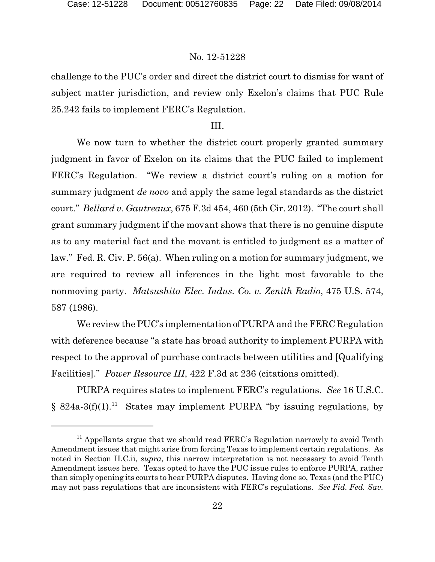challenge to the PUC's order and direct the district court to dismiss for want of subject matter jurisdiction, and review only Exelon's claims that PUC Rule 25.242 fails to implement FERC's Regulation.

# III.

We now turn to whether the district court properly granted summary judgment in favor of Exelon on its claims that the PUC failed to implement FERC's Regulation. "We review a district court's ruling on a motion for summary judgment *de novo* and apply the same legal standards as the district court." *Bellard v. Gautreaux*, 675 F.3d 454, 460 (5th Cir. 2012). "The court shall grant summary judgment if the movant shows that there is no genuine dispute as to any material fact and the movant is entitled to judgment as a matter of law." Fed. R. Civ. P. 56(a). When ruling on a motion for summary judgment, we are required to review all inferences in the light most favorable to the nonmoving party. *Matsushita Elec. Indus. Co. v. Zenith Radio*, 475 U.S. 574, 587 (1986).

We review the PUC's implementation of PURPA and the FERC Regulation with deference because "a state has broad authority to implement PURPA with respect to the approval of purchase contracts between utilities and [Qualifying Facilities]." *Power Resource III*, 422 F.3d at 236 (citations omitted).

PURPA requires states to implement FERC's regulations. *See* 16 U.S.C.  $§ 824a-3(f)(1).$ <sup>11</sup> States may implement PURPA "by issuing regulations, by

 $11$  Appellants argue that we should read FERC's Regulation narrowly to avoid Tenth Amendment issues that might arise from forcing Texas to implement certain regulations. As noted in Section II.C.ii, *supra*, this narrow interpretation is not necessary to avoid Tenth Amendment issues here. Texas opted to have the PUC issue rules to enforce PURPA, rather than simply opening its courts to hear PURPA disputes. Having done so, Texas (and the PUC) may not pass regulations that are inconsistent with FERC's regulations. *See Fid. Fed. Sav.*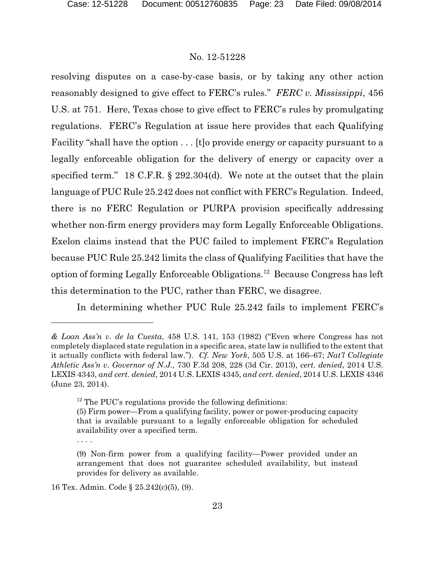resolving disputes on a case-by-case basis, or by taking any other action reasonably designed to give effect to FERC's rules." *FERC v. Mississippi*, 456 U.S. at 751. Here, Texas chose to give effect to FERC's rules by promulgating regulations. FERC's Regulation at issue here provides that each Qualifying Facility "shall have the option . . . [t]o provide energy or capacity pursuant to a legally enforceable obligation for the delivery of energy or capacity over a specified term." 18 C.F.R. § 292.304(d). We note at the outset that the plain language of PUC Rule 25.242 does not conflict with FERC's Regulation. Indeed, there is no FERC Regulation or PURPA provision specifically addressing whether non-firm energy providers may form Legally Enforceable Obligations. Exelon claims instead that the PUC failed to implement FERC's Regulation because PUC Rule 25.242 limits the class of Qualifying Facilities that have the option of forming Legally Enforceable Obligations.<sup>12</sup> Because Congress has left this determination to the PUC, rather than FERC, we disagree.

In determining whether PUC Rule 25.242 fails to implement FERC's

*<sup>&</sup>amp; Loan Ass'n v. de la Cuesta*, 458 U.S. 141, 153 (1982) ("Even where Congress has not completely displaced state regulation in a specific area, state law is nullified to the extent that it actually conflicts with federal law."). *Cf. New York*, 505 U.S. at 166–67; *Nat'l Collegiate Athletic Ass'n v. Governor of N.J.,* 730 F.3d 208, 228 (3d Cir. 2013), *cert. denied*, 2014 U.S. LEXIS 4343, *and cert. denied*, 2014 U.S. LEXIS 4345, *and cert. denied*, 2014 U.S. LEXIS 4346 (June 23, 2014).

 $12$  The PUC's regulations provide the following definitions:

<sup>(5)</sup> Firm power—From a qualifying facility, power or power-producing capacity that is available pursuant to a legally enforceable obligation for scheduled availability over a specified term. . . . .

<sup>(9)</sup> Non-firm power from a qualifying facility—Power provided under an arrangement that does not guarantee scheduled availability, but instead provides for delivery as available.

<sup>16</sup> Tex. Admin. Code § 25.242(c)(5), (9).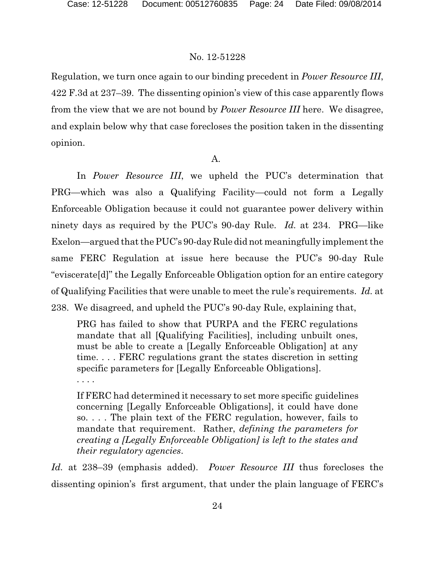Regulation, we turn once again to our binding precedent in *Power Resource III*, 422 F.3d at 237–39. The dissenting opinion's view of this case apparently flows from the view that we are not bound by *Power Resource III* here. We disagree, and explain below why that case forecloses the position taken in the dissenting opinion.

# A.

In *Power Resource III*, we upheld the PUC's determination that PRG—which was also a Qualifying Facility—could not form a Legally Enforceable Obligation because it could not guarantee power delivery within ninety days as required by the PUC's 90-day Rule. *Id.* at 234. PRG—like Exelon—argued that the PUC's 90-day Rule did not meaningfully implement the same FERC Regulation at issue here because the PUC's 90-day Rule "eviscerate[d]" the Legally Enforceable Obligation option for an entire category of Qualifying Facilities that were unable to meet the rule's requirements. *Id.* at 238. We disagreed, and upheld the PUC's 90-day Rule, explaining that,

PRG has failed to show that PURPA and the FERC regulations mandate that all [Qualifying Facilities], including unbuilt ones, must be able to create a [Legally Enforceable Obligation] at any time. . . . FERC regulations grant the states discretion in setting specific parameters for [Legally Enforceable Obligations].

. . . .

If FERC had determined it necessary to set more specific guidelines concerning [Legally Enforceable Obligations], it could have done so. . . . The plain text of the FERC regulation, however, fails to mandate that requirement. Rather, *defining the parameters for creating a [Legally Enforceable Obligation] is left to the states and their regulatory agencies*.

*Id.* at 238–39 (emphasis added). *Power Resource III* thus forecloses the dissenting opinion's first argument, that under the plain language of FERC's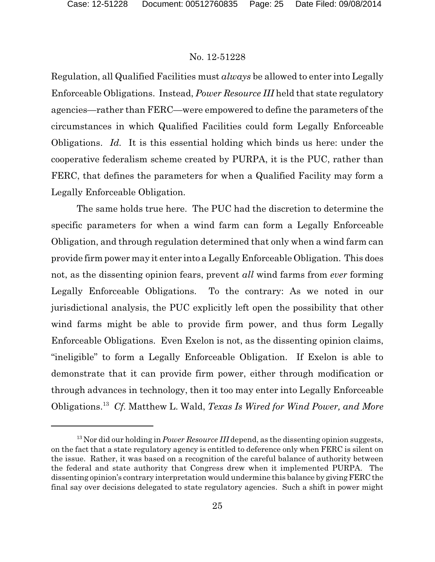Regulation, all Qualified Facilities must *always* be allowed to enter into Legally Enforceable Obligations. Instead, *Power Resource III* held that state regulatory agencies—rather than FERC—were empowered to define the parameters of the circumstances in which Qualified Facilities could form Legally Enforceable Obligations. *Id.* It is this essential holding which binds us here: under the cooperative federalism scheme created by PURPA, it is the PUC, rather than FERC, that defines the parameters for when a Qualified Facility may form a Legally Enforceable Obligation.

The same holds true here. The PUC had the discretion to determine the specific parameters for when a wind farm can form a Legally Enforceable Obligation, and through regulation determined that only when a wind farm can provide firm power may it enter into a Legally Enforceable Obligation. This does not, as the dissenting opinion fears, prevent *all* wind farms from *ever* forming Legally Enforceable Obligations. To the contrary: As we noted in our jurisdictional analysis, the PUC explicitly left open the possibility that other wind farms might be able to provide firm power, and thus form Legally Enforceable Obligations. Even Exelon is not, as the dissenting opinion claims, "ineligible" to form a Legally Enforceable Obligation. If Exelon is able to demonstrate that it can provide firm power, either through modification or through advances in technology, then it too may enter into Legally Enforceable Obligations.<sup>13</sup> *Cf.* Matthew L. Wald, *Texas Is Wired for Wind Power, and More*

 $13$  Nor did our holding in *Power Resource III* depend, as the dissenting opinion suggests, on the fact that a state regulatory agency is entitled to deference only when FERC is silent on the issue. Rather, it was based on a recognition of the careful balance of authority between the federal and state authority that Congress drew when it implemented PURPA. The dissenting opinion's contrary interpretation would undermine this balance by giving FERC the final say over decisions delegated to state regulatory agencies. Such a shift in power might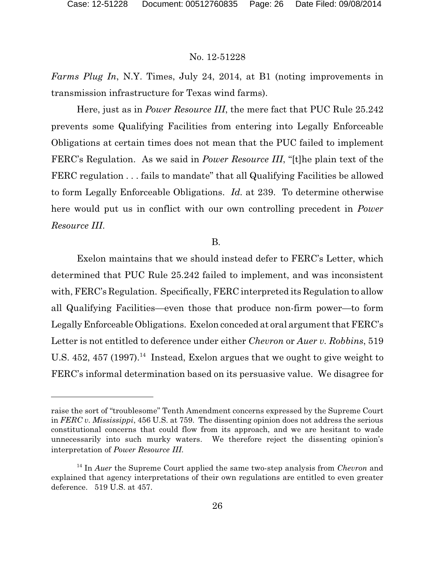*Farms Plug In*, N.Y. Times, July 24, 2014, at B1 (noting improvements in transmission infrastructure for Texas wind farms).

Here, just as in *Power Resource III*, the mere fact that PUC Rule 25.242 prevents some Qualifying Facilities from entering into Legally Enforceable Obligations at certain times does not mean that the PUC failed to implement FERC's Regulation. As we said in *Power Resource III*, "[t]he plain text of the FERC regulation . . . fails to mandate" that all Qualifying Facilities be allowed to form Legally Enforceable Obligations. *Id.* at 239. To determine otherwise here would put us in conflict with our own controlling precedent in *Power Resource III*.

# B.

Exelon maintains that we should instead defer to FERC's Letter, which determined that PUC Rule 25.242 failed to implement, and was inconsistent with, FERC's Regulation. Specifically, FERC interpreted its Regulation to allow all Qualifying Facilities—even those that produce non-firm power—to form Legally Enforceable Obligations. Exelon conceded at oral argument that FERC's Letter is not entitled to deference under either *Chevron* or *Auer v. Robbins*, 519 U.S.  $452$ ,  $457$  (1997).<sup>14</sup> Instead, Exelon argues that we ought to give weight to FERC's informal determination based on its persuasive value. We disagree for

raise the sort of "troublesome" Tenth Amendment concerns expressed by the Supreme Court in *FERC v. Mississippi*, 456 U.S. at 759. The dissenting opinion does not address the serious constitutional concerns that could flow from its approach, and we are hesitant to wade unnecessarily into such murky waters. We therefore reject the dissenting opinion's interpretation of *Power Resource III*.

<sup>&</sup>lt;sup>14</sup> In *Auer* the Supreme Court applied the same two-step analysis from *Chevron* and explained that agency interpretations of their own regulations are entitled to even greater deference. 519 U.S. at 457.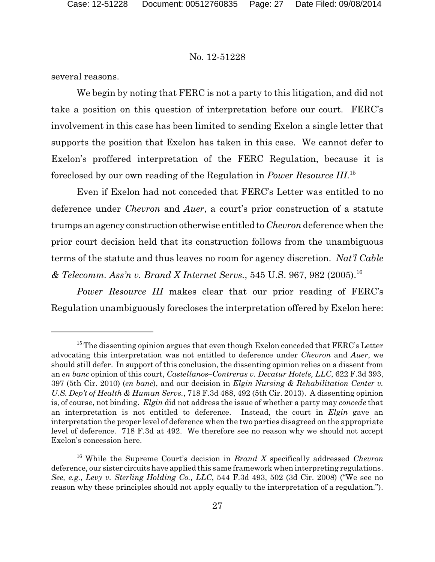several reasons.

We begin by noting that FERC is not a party to this litigation, and did not take a position on this question of interpretation before our court. FERC's involvement in this case has been limited to sending Exelon a single letter that supports the position that Exelon has taken in this case. We cannot defer to Exelon's proffered interpretation of the FERC Regulation, because it is foreclosed by our own reading of the Regulation in *Power Resource III*. 15

Even if Exelon had not conceded that FERC's Letter was entitled to no deference under *Chevron* and *Auer*, a court's prior construction of a statute trumps an agency construction otherwise entitled to *Chevron* deference when the prior court decision held that its construction follows from the unambiguous terms of the statute and thus leaves no room for agency discretion. *Nat'l Cable & Telecomm. Ass'n v. Brand X Internet Servs.*, 545 U.S. 967, 982 (2005).<sup>16</sup>

*Power Resource III* makes clear that our prior reading of FERC's Regulation unambiguously forecloses the interpretation offered by Exelon here:

 $15$  The dissenting opinion argues that even though Exelon conceded that  $FERC$ 's Letter advocating this interpretation was not entitled to deference under *Chevron* and *Auer*, we should still defer. In support of this conclusion, the dissenting opinion relies on a dissent from an *en banc* opinion of this court, *Castellanos–Contreras v. Decatur Hotels, LLC*, 622 F.3d 393, 397 (5th Cir. 2010) (*en banc*), and our decision in *Elgin Nursing & Rehabilitation Center v. U.S. Dep't of Health & Human Servs.*, 718 F.3d 488, 492 (5th Cir. 2013). A dissenting opinion is, of course, not binding. *Elgin* did not address the issue of whether a party may *concede* that an interpretation is not entitled to deference. Instead, the court in *Elgin* gave an interpretation the proper level of deference when the two parties disagreed on the appropriate level of deference. 718 F.3d at 492. We therefore see no reason why we should not accept Exelon's concession here.

<sup>16</sup> While the Supreme Court's decision in *Brand X* specifically addressed *Chevron* deference, our sister circuits have applied this same framework when interpreting regulations. *See, e.g.*, *Levy v. Sterling Holding Co., LLC*, 544 F.3d 493, 502 (3d Cir. 2008) ("We see no reason why these principles should not apply equally to the interpretation of a regulation.").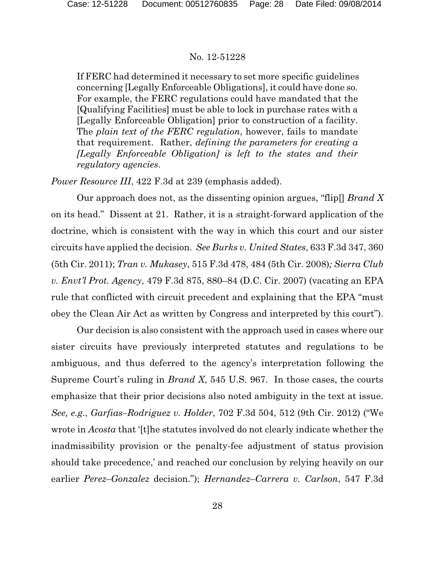If FERC had determined it necessary to set more specific guidelines concerning [Legally Enforceable Obligations], it could have done so. For example, the FERC regulations could have mandated that the [Qualifying Facilities] must be able to lock in purchase rates with a [Legally Enforceable Obligation] prior to construction of a facility. The *plain text of the FERC regulation*, however, fails to mandate that requirement. Rather, *defining the parameters for creating a [Legally Enforceable Obligation] is left to the states and their regulatory agencies*.

*Power Resource III*, 422 F.3d at 239 (emphasis added).

Our approach does not, as the dissenting opinion argues, "flip[] *Brand X* on its head." Dissent at 21. Rather, it is a straight-forward application of the doctrine, which is consistent with the way in which this court and our sister circuits have applied the decision. *See Burks v. United States*, 633 F.3d 347, 360 (5th Cir. 2011); *Tran v. Mukasey*, 515 F.3d 478, 484 (5th Cir. 2008)*; Sierra Club v. Envt'l Prot. Agency*, 479 F.3d 875, 880–84 (D.C. Cir. 2007) (vacating an EPA rule that conflicted with circuit precedent and explaining that the EPA "must obey the Clean Air Act as written by Congress and interpreted by this court").

Our decision is also consistent with the approach used in cases where our sister circuits have previously interpreted statutes and regulations to be ambiguous, and thus deferred to the agency's interpretation following the Supreme Court's ruling in *Brand X*, 545 U.S. 967. In those cases, the courts emphasize that their prior decisions also noted ambiguity in the text at issue. *See, e.g.*, *Garfias–Rodriguez v. Holder*, 702 F.3d 504, 512 (9th Cir. 2012) ("We wrote in *Acosta* that '[t]he statutes involved do not clearly indicate whether the inadmissibility provision or the penalty-fee adjustment of status provision should take precedence,' and reached our conclusion by relying heavily on our earlier *Perez–Gonzalez* decision."); *Hernandez–Carrera v. Carlson*, 547 F.3d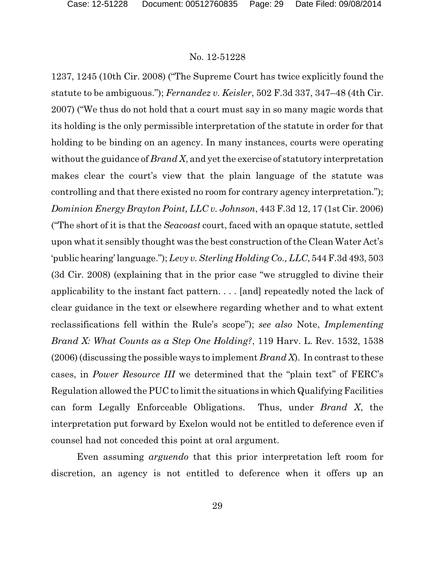1237, 1245 (10th Cir. 2008) ("The Supreme Court has twice explicitly found the statute to be ambiguous."); *Fernandez v. Keisler*, 502 F.3d 337, 347–48 (4th Cir. 2007) ("We thus do not hold that a court must say in so many magic words that its holding is the only permissible interpretation of the statute in order for that holding to be binding on an agency. In many instances, courts were operating without the guidance of *Brand X*, and yet the exercise of statutory interpretation makes clear the court's view that the plain language of the statute was controlling and that there existed no room for contrary agency interpretation."); *Dominion Energy Brayton Point, LLC v. Johnson*, 443 F.3d 12, 17 (1st Cir. 2006) ("The short of it is that the *Seacoast* court, faced with an opaque statute, settled upon what it sensibly thought was the best construction of the Clean Water Act's 'public hearing' language."); *Levy v. Sterling Holding Co., LLC*, 544F.3d 493, 503 (3d Cir. 2008) (explaining that in the prior case "we struggled to divine their applicability to the instant fact pattern. . . . [and] repeatedly noted the lack of clear guidance in the text or elsewhere regarding whether and to what extent reclassifications fell within the Rule's scope"); *see also* Note, *Implementing Brand X: What Counts as a Step One Holding?*, 119 Harv. L. Rev. 1532, 1538 (2006) (discussing the possible ways to implement *Brand X*). In contrast to these cases, in *Power Resource III* we determined that the "plain text" of FERC's Regulation allowed the PUC to limit the situations in which Qualifying Facilities can form Legally Enforceable Obligations. Thus, under *Brand X*, the interpretation put forward by Exelon would not be entitled to deference even if counsel had not conceded this point at oral argument.

Even assuming *arguendo* that this prior interpretation left room for discretion, an agency is not entitled to deference when it offers up an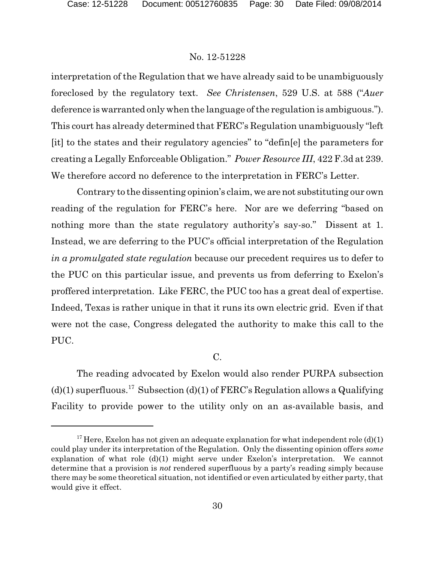interpretation of the Regulation that we have already said to be unambiguously foreclosed by the regulatory text. *See Christensen*, 529 U.S. at 588 ("*Auer* deference is warranted only when the language of the regulation is ambiguous."). This court has already determined that FERC's Regulation unambiguously "left [it] to the states and their regulatory agencies" to "defin[e] the parameters for creating a Legally Enforceable Obligation." *Power Resource III*, 422 F.3d at 239. We therefore accord no deference to the interpretation in FERC's Letter.

Contrary to the dissenting opinion's claim, we are not substituting our own reading of the regulation for FERC's here. Nor are we deferring "based on nothing more than the state regulatory authority's say-so." Dissent at 1. Instead, we are deferring to the PUC's official interpretation of the Regulation *in a promulgated state regulation* because our precedent requires us to defer to the PUC on this particular issue, and prevents us from deferring to Exelon's proffered interpretation. Like FERC, the PUC too has a great deal of expertise. Indeed, Texas is rather unique in that it runs its own electric grid. Even if that were not the case, Congress delegated the authority to make this call to the PUC.

# C.

The reading advocated by Exelon would also render PURPA subsection  $(d)(1)$  superfluous.<sup>17</sup> Subsection (d)(1) of FERC's Regulation allows a Qualifying Facility to provide power to the utility only on an as-available basis, and

<sup>&</sup>lt;sup>17</sup> Here, Exelon has not given an adequate explanation for what independent role  $(d)(1)$ could play under its interpretation of the Regulation. Only the dissenting opinion offers *some* explanation of what role  $(d)(1)$  might serve under Exelon's interpretation. We cannot determine that a provision is *not* rendered superfluous by a party's reading simply because there may be some theoretical situation, not identified or even articulated by either party, that would give it effect.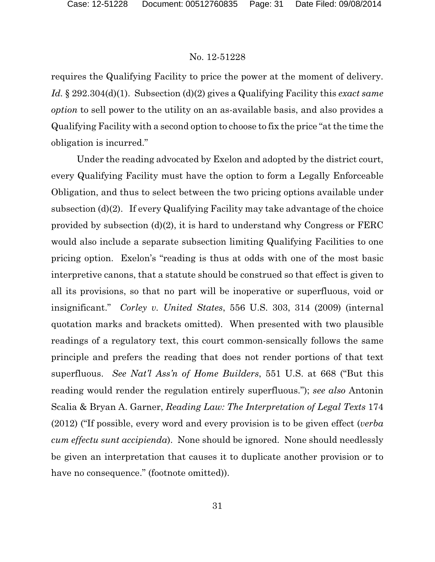requires the Qualifying Facility to price the power at the moment of delivery. *Id.* § 292.304(d)(1). Subsection (d)(2) gives a Qualifying Facility this *exact same option* to sell power to the utility on an as-available basis, and also provides a Qualifying Facility with a second option to choose to fix the price "at the time the obligation is incurred."

Under the reading advocated by Exelon and adopted by the district court, every Qualifying Facility must have the option to form a Legally Enforceable Obligation, and thus to select between the two pricing options available under subsection (d)(2). If every Qualifying Facility may take advantage of the choice provided by subsection (d)(2), it is hard to understand why Congress or FERC would also include a separate subsection limiting Qualifying Facilities to one pricing option. Exelon's "reading is thus at odds with one of the most basic interpretive canons, that a statute should be construed so that effect is given to all its provisions, so that no part will be inoperative or superfluous, void or insignificant." *Corley v. United States*, 556 U.S. 303, 314 (2009) (internal quotation marks and brackets omitted). When presented with two plausible readings of a regulatory text, this court common-sensically follows the same principle and prefers the reading that does not render portions of that text superfluous. *See Nat'l Ass'n of Home Builders*, 551 U.S. at 668 ("But this reading would render the regulation entirely superfluous."); *see also* Antonin Scalia & Bryan A. Garner, *Reading Law: The Interpretation of Legal Texts* 174 (2012) ("If possible, every word and every provision is to be given effect (*verba cum effectu sunt accipienda*). None should be ignored. None should needlessly be given an interpretation that causes it to duplicate another provision or to have no consequence." (footnote omitted)).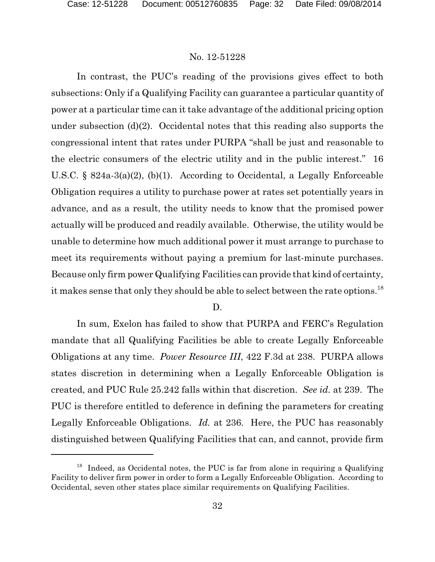In contrast, the PUC's reading of the provisions gives effect to both subsections: Only if a Qualifying Facility can guarantee a particular quantity of power at a particular time can it take advantage of the additional pricing option under subsection (d)(2). Occidental notes that this reading also supports the congressional intent that rates under PURPA "shall be just and reasonable to the electric consumers of the electric utility and in the public interest." 16 U.S.C. § 824a-3(a)(2), (b)(1). According to Occidental, a Legally Enforceable Obligation requires a utility to purchase power at rates set potentially years in advance, and as a result, the utility needs to know that the promised power actually will be produced and readily available. Otherwise, the utility would be unable to determine how much additional power it must arrange to purchase to meet its requirements without paying a premium for last-minute purchases. Because only firm power Qualifying Facilities can provide that kind of certainty, it makes sense that only they should be able to select between the rate options.<sup>18</sup>

#### D.

In sum, Exelon has failed to show that PURPA and FERC's Regulation mandate that all Qualifying Facilities be able to create Legally Enforceable Obligations at any time. *Power Resource III*, 422 F.3d at 238. PURPA allows states discretion in determining when a Legally Enforceable Obligation is created, and PUC Rule 25.242 falls within that discretion. *See id.* at 239. The PUC is therefore entitled to deference in defining the parameters for creating Legally Enforceable Obligations. *Id.* at 236. Here, the PUC has reasonably distinguished between Qualifying Facilities that can, and cannot, provide firm

 $18$  Indeed, as Occidental notes, the PUC is far from alone in requiring a Qualifying Facility to deliver firm power in order to form a Legally Enforceable Obligation. According to Occidental, seven other states place similar requirements on Qualifying Facilities.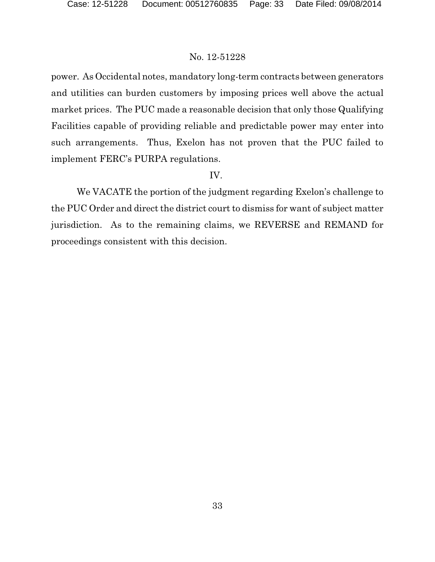power. As Occidental notes, mandatory long-term contracts between generators and utilities can burden customers by imposing prices well above the actual market prices. The PUC made a reasonable decision that only those Qualifying Facilities capable of providing reliable and predictable power may enter into such arrangements. Thus, Exelon has not proven that the PUC failed to implement FERC's PURPA regulations.

# IV.

We VACATE the portion of the judgment regarding Exelon's challenge to the PUC Order and direct the district court to dismiss for want of subject matter jurisdiction. As to the remaining claims, we REVERSE and REMAND for proceedings consistent with this decision.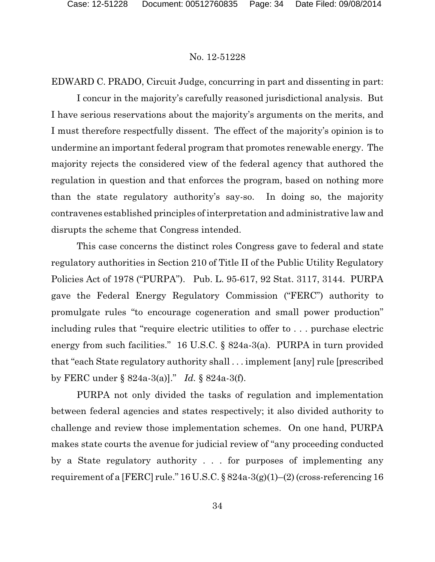EDWARD C. PRADO, Circuit Judge, concurring in part and dissenting in part:

I concur in the majority's carefully reasoned jurisdictional analysis. But I have serious reservations about the majority's arguments on the merits, and I must therefore respectfully dissent. The effect of the majority's opinion is to undermine an important federal program that promotes renewable energy. The majority rejects the considered view of the federal agency that authored the regulation in question and that enforces the program, based on nothing more than the state regulatory authority's say-so. In doing so, the majority contravenes established principles of interpretation and administrative law and disrupts the scheme that Congress intended.

This case concerns the distinct roles Congress gave to federal and state regulatory authorities in Section 210 of Title II of the Public Utility Regulatory Policies Act of 1978 ("PURPA"). Pub. L. 95-617, 92 Stat. 3117, 3144. PURPA gave the Federal Energy Regulatory Commission ("FERC") authority to promulgate rules "to encourage cogeneration and small power production" including rules that "require electric utilities to offer to . . . purchase electric energy from such facilities." 16 U.S.C. § 824a-3(a). PURPA in turn provided that "each State regulatory authority shall . . . implement [any] rule [prescribed by FERC under § 824a-3(a)]." *Id.* § 824a-3(f).

PURPA not only divided the tasks of regulation and implementation between federal agencies and states respectively; it also divided authority to challenge and review those implementation schemes. On one hand, PURPA makes state courts the avenue for judicial review of "any proceeding conducted by a State regulatory authority . . . for purposes of implementing any requirement of a [FERC] rule." 16 U.S.C. § 824a-3(g)(1)–(2) (cross-referencing 16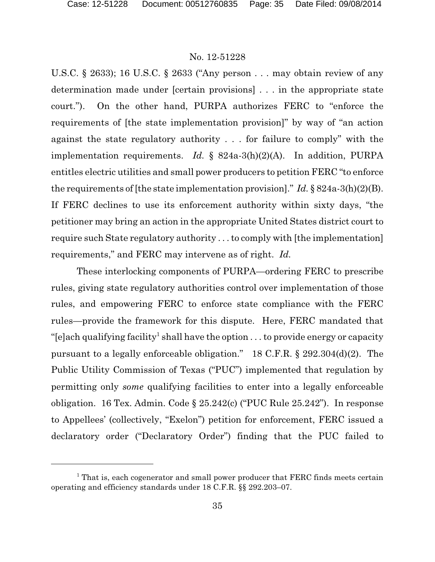U.S.C. § 2633); 16 U.S.C. § 2633 ("Any person . . . may obtain review of any determination made under [certain provisions] . . . in the appropriate state court."). On the other hand, PURPA authorizes FERC to "enforce the requirements of [the state implementation provision]" by way of "an action against the state regulatory authority . . . for failure to comply" with the implementation requirements. *Id.* § 824a-3(h)(2)(A). In addition, PURPA entitles electric utilities and small power producers to petition FERC "to enforce the requirements of [the state implementation provision]." *Id.* § 824a-3(h)(2)(B). If FERC declines to use its enforcement authority within sixty days, "the petitioner may bring an action in the appropriate United States district court to require such State regulatory authority . . . to comply with [the implementation] requirements," and FERC may intervene as of right. *Id.*

These interlocking components of PURPA—ordering FERC to prescribe rules, giving state regulatory authorities control over implementation of those rules, and empowering FERC to enforce state compliance with the FERC rules—provide the framework for this dispute. Here, FERC mandated that "[e]ach qualifying facility<sup>1</sup> shall have the option . . . to provide energy or capacity pursuant to a legally enforceable obligation." 18 C.F.R. § 292.304(d)(2). The Public Utility Commission of Texas ("PUC") implemented that regulation by permitting only *some* qualifying facilities to enter into a legally enforceable obligation. 16 Tex. Admin. Code § 25.242(c) ("PUC Rule 25.242"). In response to Appellees' (collectively, "Exelon") petition for enforcement, FERC issued a declaratory order ("Declaratory Order") finding that the PUC failed to

<sup>&</sup>lt;sup>1</sup> That is, each cogenerator and small power producer that FERC finds meets certain operating and efficiency standards under 18 C.F.R. §§ 292.203–07.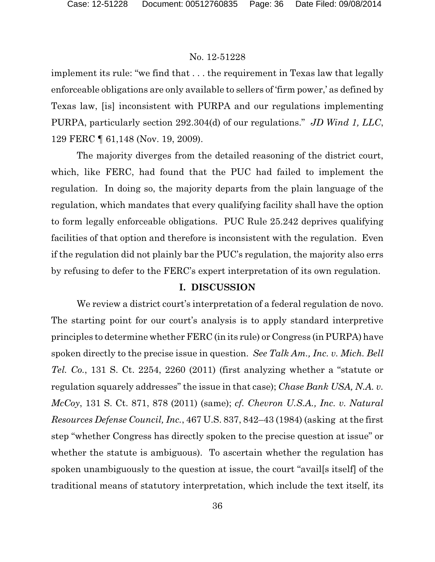implement its rule: "we find that . . . the requirement in Texas law that legally enforceable obligations are only available to sellers of 'firm power,' as defined by Texas law, [is] inconsistent with PURPA and our regulations implementing PURPA, particularly section 292.304(d) of our regulations." *JD Wind 1, LLC*, 129 FERC ¶ 61,148 (Nov. 19, 2009).

The majority diverges from the detailed reasoning of the district court, which, like FERC, had found that the PUC had failed to implement the regulation. In doing so, the majority departs from the plain language of the regulation, which mandates that every qualifying facility shall have the option to form legally enforceable obligations. PUC Rule 25.242 deprives qualifying facilities of that option and therefore is inconsistent with the regulation. Even if the regulation did not plainly bar the PUC's regulation, the majority also errs by refusing to defer to the FERC's expert interpretation of its own regulation.

## **I. DISCUSSION**

We review a district court's interpretation of a federal regulation de novo. The starting point for our court's analysis is to apply standard interpretive principles to determine whether FERC (in its rule) or Congress (in PURPA) have spoken directly to the precise issue in question. *See Talk Am., Inc. v. Mich. Bell Tel. Co.*, 131 S. Ct. 2254, 2260 (2011) (first analyzing whether a "statute or regulation squarely addresses" the issue in that case); *Chase Bank USA, N.A. v. McCoy*, 131 S. Ct. 871, 878 (2011) (same); *cf. Chevron U.S.A., Inc. v. Natural Resources Defense Council, Inc.*, 467 U.S. 837, 842–43 (1984) (asking at the first step "whether Congress has directly spoken to the precise question at issue" or whether the statute is ambiguous). To ascertain whether the regulation has spoken unambiguously to the question at issue, the court "avail[s itself] of the traditional means of statutory interpretation, which include the text itself, its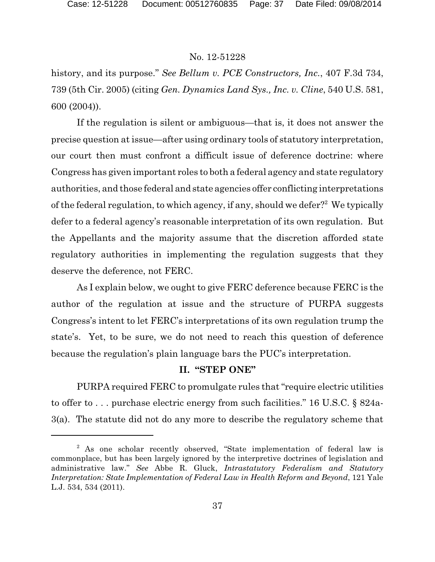history, and its purpose." *See Bellum v. PCE Constructors, Inc.*, 407 F.3d 734, 739 (5th Cir. 2005) (citing *Gen. Dynamics Land Sys., Inc. v. Cline*, 540 U.S. 581, 600 (2004)).

If the regulation is silent or ambiguous—that is, it does not answer the precise question at issue—after using ordinary tools of statutory interpretation, our court then must confront a difficult issue of deference doctrine: where Congress has given important roles to both a federal agency and state regulatory authorities, and those federal and state agencies offer conflicting interpretations of the federal regulation, to which agency, if any, should we defer?<sup>2</sup> We typically defer to a federal agency's reasonable interpretation of its own regulation. But the Appellants and the majority assume that the discretion afforded state regulatory authorities in implementing the regulation suggests that they deserve the deference, not FERC.

As I explain below, we ought to give FERC deference because FERC is the author of the regulation at issue and the structure of PURPA suggests Congress's intent to let FERC's interpretations of its own regulation trump the state's. Yet, to be sure, we do not need to reach this question of deference because the regulation's plain language bars the PUC's interpretation.

# **II. "STEP ONE"**

PURPA required FERC to promulgate rules that "require electric utilities to offer to . . . purchase electric energy from such facilities." 16 U.S.C. § 824a-3(a). The statute did not do any more to describe the regulatory scheme that

<sup>&</sup>lt;sup>2</sup> As one scholar recently observed, "State implementation of federal law is commonplace, but has been largely ignored by the interpretive doctrines of legislation and administrative law." *See* Abbe R. Gluck, *Intrastatutory Federalism and Statutory Interpretation: State Implementation of Federal Law in Health Reform and Beyond*, 121 Yale L.J. 534, 534 (2011).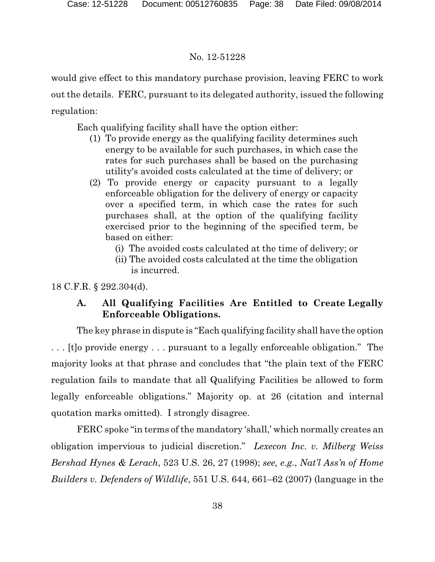would give effect to this mandatory purchase provision, leaving FERC to work out the details. FERC, pursuant to its delegated authority, issued the following regulation:

Each qualifying facility shall have the option either:

- (1) To provide energy as the qualifying facility determines such energy to be available for such purchases, in which case the rates for such purchases shall be based on the purchasing utility's avoided costs calculated at the time of delivery; or
- (2) To provide energy or capacity pursuant to a legally enforceable obligation for the delivery of energy or capacity over a specified term, in which case the rates for such purchases shall, at the option of the qualifying facility exercised prior to the beginning of the specified term, be based on either:
	- (i) The avoided costs calculated at the time of delivery; or
	- (ii) The avoided costs calculated at the time the obligation is incurred.

18 C.F.R. § 292.304(d).

# **A. All Qualifying Facilities Are Entitled to Create Legally Enforceable Obligations.**

The key phrase in dispute is "Each qualifying facility shall have the option . . . [t]o provide energy . . . pursuant to a legally enforceable obligation." The majority looks at that phrase and concludes that "the plain text of the FERC regulation fails to mandate that all Qualifying Facilities be allowed to form legally enforceable obligations." Majority op. at 26 (citation and internal quotation marks omitted). I strongly disagree.

FERC spoke "in terms of the mandatory 'shall,' which normally creates an obligation impervious to judicial discretion." *Lexecon Inc. v. Milberg Weiss Bershad Hynes & Lerach*, 523 U.S. 26, 27 (1998); *see, e.g.*, *Nat'l Ass'n of Home Builders v. Defenders of Wildlife*, 551 U.S. 644, 661–62 (2007) (language in the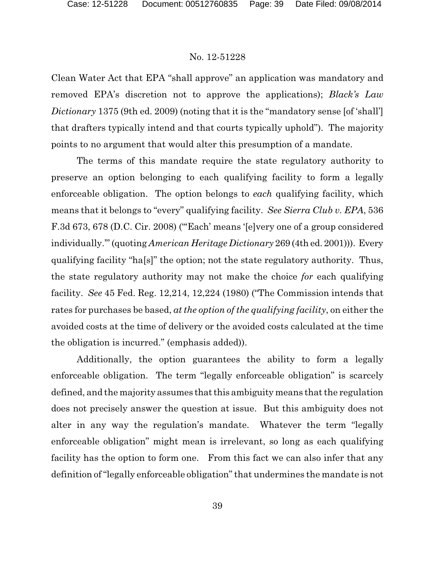Clean Water Act that EPA "shall approve" an application was mandatory and removed EPA's discretion not to approve the applications); *Black's Law Dictionary* 1375 (9th ed. 2009) (noting that it is the "mandatory sense [of 'shall'] that drafters typically intend and that courts typically uphold"). The majority points to no argument that would alter this presumption of a mandate.

The terms of this mandate require the state regulatory authority to preserve an option belonging to each qualifying facility to form a legally enforceable obligation. The option belongs to *each* qualifying facility, which means that it belongs to "every" qualifying facility. *See Sierra Club v. EPA*, 536 F.3d 673, 678 (D.C. Cir. 2008) ("'Each' means '[e]very one of a group considered individually.'" (quoting *American Heritage Dictionary* 269 (4th ed. 2001))). Every qualifying facility "ha[s]" the option; not the state regulatory authority. Thus, the state regulatory authority may not make the choice *for* each qualifying facility. *See* 45 Fed. Reg. 12,214, 12,224 (1980) ("The Commission intends that rates for purchases be based, *at the option of the qualifying facility*, on either the avoided costs at the time of delivery or the avoided costs calculated at the time the obligation is incurred." (emphasis added)).

Additionally, the option guarantees the ability to form a legally enforceable obligation. The term "legally enforceable obligation" is scarcely defined, and the majority assumes that this ambiguity means that the regulation does not precisely answer the question at issue. But this ambiguity does not alter in any way the regulation's mandate. Whatever the term "legally enforceable obligation" might mean is irrelevant, so long as each qualifying facility has the option to form one. From this fact we can also infer that any definition of "legally enforceable obligation" that undermines the mandate is not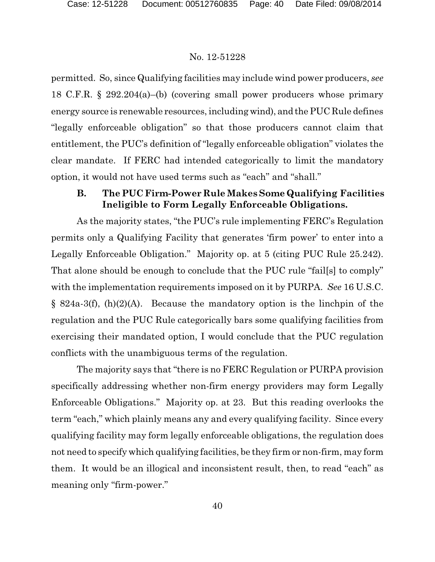permitted. So, since Qualifying facilities may include wind power producers, *see* 18 C.F.R. § 292.204(a)–(b) (covering small power producers whose primary energy source is renewable resources, including wind), and the PUC Rule defines "legally enforceable obligation" so that those producers cannot claim that entitlement, the PUC's definition of "legally enforceable obligation" violates the clear mandate. If FERC had intended categorically to limit the mandatory option, it would not have used terms such as "each" and "shall."

# **B. The PUC Firm-Power Rule Makes Some Qualifying Facilities Ineligible to Form Legally Enforceable Obligations.**

As the majority states, "the PUC's rule implementing FERC's Regulation permits only a Qualifying Facility that generates 'firm power' to enter into a Legally Enforceable Obligation." Majority op. at 5 (citing PUC Rule 25.242). That alone should be enough to conclude that the PUC rule "fail[s] to comply" with the implementation requirements imposed on it by PURPA. *See* 16 U.S.C.  $\S$  824a-3(f), (h)(2)(A). Because the mandatory option is the linchpin of the regulation and the PUC Rule categorically bars some qualifying facilities from exercising their mandated option, I would conclude that the PUC regulation conflicts with the unambiguous terms of the regulation.

The majority says that "there is no FERC Regulation or PURPA provision specifically addressing whether non-firm energy providers may form Legally Enforceable Obligations." Majority op. at 23. But this reading overlooks the term "each," which plainly means any and every qualifying facility. Since every qualifying facility may form legally enforceable obligations, the regulation does not need to specify which qualifying facilities, be they firm or non-firm, may form them. It would be an illogical and inconsistent result, then, to read "each" as meaning only "firm-power."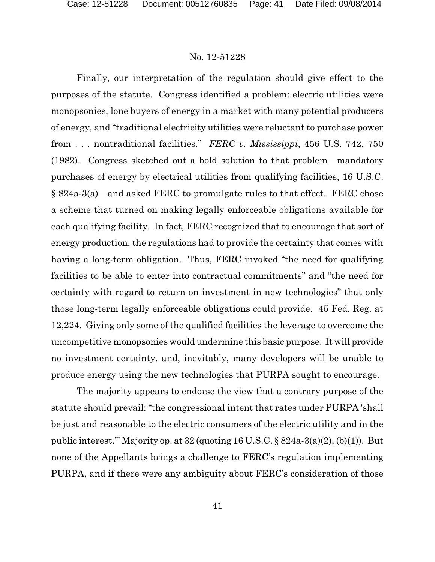Finally, our interpretation of the regulation should give effect to the purposes of the statute. Congress identified a problem: electric utilities were monopsonies, lone buyers of energy in a market with many potential producers of energy, and "traditional electricity utilities were reluctant to purchase power from . . . nontraditional facilities." *FERC v. Mississippi*, 456 U.S. 742, 750 (1982). Congress sketched out a bold solution to that problem—mandatory purchases of energy by electrical utilities from qualifying facilities, 16 U.S.C. § 824a-3(a)—and asked FERC to promulgate rules to that effect. FERC chose a scheme that turned on making legally enforceable obligations available for each qualifying facility. In fact, FERC recognized that to encourage that sort of energy production, the regulations had to provide the certainty that comes with having a long-term obligation. Thus, FERC invoked "the need for qualifying facilities to be able to enter into contractual commitments" and "the need for certainty with regard to return on investment in new technologies" that only those long-term legally enforceable obligations could provide. 45 Fed. Reg. at 12,224. Giving only some of the qualified facilities the leverage to overcome the uncompetitive monopsonies would undermine this basic purpose. It will provide no investment certainty, and, inevitably, many developers will be unable to produce energy using the new technologies that PURPA sought to encourage.

The majority appears to endorse the view that a contrary purpose of the statute should prevail: "the congressional intent that rates under PURPA 'shall be just and reasonable to the electric consumers of the electric utility and in the public interest.'" Majority op. at 32 (quoting 16 U.S.C. § 824a-3(a)(2), (b)(1)). But none of the Appellants brings a challenge to FERC's regulation implementing PURPA, and if there were any ambiguity about FERC's consideration of those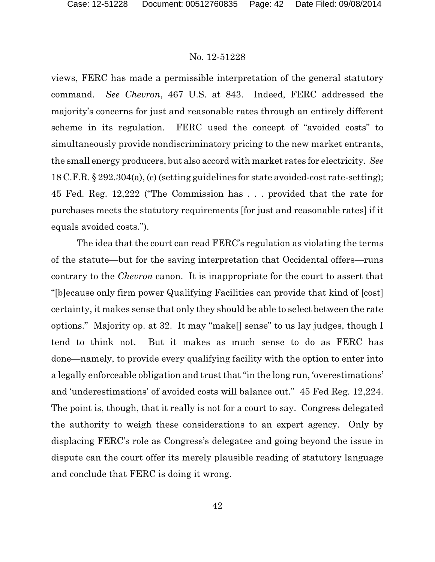views, FERC has made a permissible interpretation of the general statutory command. *See Chevron*, 467 U.S. at 843. Indeed, FERC addressed the majority's concerns for just and reasonable rates through an entirely different scheme in its regulation. FERC used the concept of "avoided costs" to simultaneously provide nondiscriminatory pricing to the new market entrants, the small energy producers, but also accord with market rates for electricity. *See* 18 C.F.R. § 292.304(a), (c) (setting guidelines for state avoided-cost rate-setting); 45 Fed. Reg. 12,222 ("The Commission has . . . provided that the rate for purchases meets the statutory requirements [for just and reasonable rates] if it equals avoided costs.").

The idea that the court can read FERC's regulation as violating the terms of the statute—but for the saving interpretation that Occidental offers—runs contrary to the *Chevron* canon. It is inappropriate for the court to assert that "[b]ecause only firm power Qualifying Facilities can provide that kind of [cost] certainty, it makes sense that only they should be able to select between the rate options." Majority op. at 32. It may "make[] sense" to us lay judges, though I tend to think not. But it makes as much sense to do as FERC has done—namely, to provide every qualifying facility with the option to enter into a legally enforceable obligation and trust that "in the long run, 'overestimations' and 'underestimations' of avoided costs will balance out." 45 Fed Reg. 12,224. The point is, though, that it really is not for a court to say. Congress delegated the authority to weigh these considerations to an expert agency. Only by displacing FERC's role as Congress's delegatee and going beyond the issue in dispute can the court offer its merely plausible reading of statutory language and conclude that FERC is doing it wrong.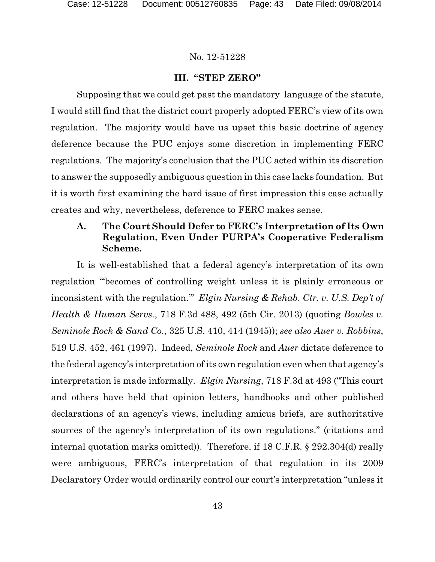## **III. "STEP ZERO"**

Supposing that we could get past the mandatory language of the statute, I would still find that the district court properly adopted FERC's view of its own regulation. The majority would have us upset this basic doctrine of agency deference because the PUC enjoys some discretion in implementing FERC regulations. The majority's conclusion that the PUC acted within its discretion to answer the supposedly ambiguous question in this case lacks foundation. But it is worth first examining the hard issue of first impression this case actually creates and why, nevertheless, deference to FERC makes sense.

# **A. The Court Should Defer to FERC's Interpretation of Its Own Regulation, Even Under PURPA's Cooperative Federalism Scheme.**

It is well-established that a federal agency's interpretation of its own regulation "'becomes of controlling weight unless it is plainly erroneous or inconsistent with the regulation.'" *Elgin Nursing & Rehab. Ctr. v. U.S. Dep't of Health & Human Servs.*, 718 F.3d 488, 492 (5th Cir. 2013) (quoting *Bowles v. Seminole Rock & Sand Co.*, 325 U.S. 410, 414 (1945)); *see also Auer v. Robbins*, 519 U.S. 452, 461 (1997). Indeed, *Seminole Rock* and *Auer* dictate deference to the federal agency's interpretation of its own regulation even when that agency's interpretation is made informally. *Elgin Nursing*, 718 F.3d at 493 ("This court and others have held that opinion letters, handbooks and other published declarations of an agency's views, including amicus briefs, are authoritative sources of the agency's interpretation of its own regulations." (citations and internal quotation marks omitted)). Therefore, if 18 C.F.R. § 292.304(d) really were ambiguous, FERC's interpretation of that regulation in its 2009 Declaratory Order would ordinarily control our court's interpretation "unless it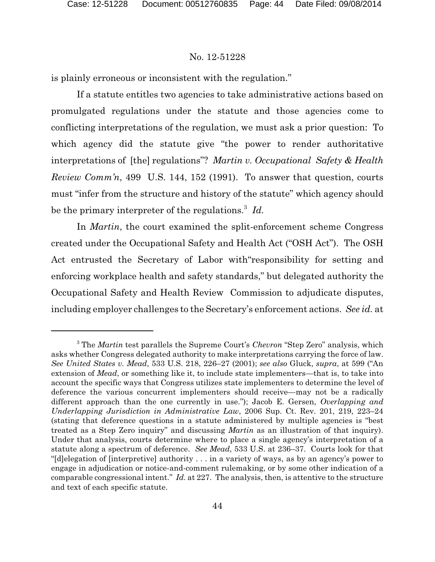is plainly erroneous or inconsistent with the regulation."

If a statute entitles two agencies to take administrative actions based on promulgated regulations under the statute and those agencies come to conflicting interpretations of the regulation, we must ask a prior question: To which agency did the statute give "the power to render authoritative interpretations of [the] regulations"? *Martin v. Occupational Safety & Health Review Comm'n*, 499 U.S. 144, 152 (1991). To answer that question, courts must "infer from the structure and history of the statute" which agency should be the primary interpreter of the regulations.<sup>3</sup> Id.

In *Martin*, the court examined the split-enforcement scheme Congress created under the Occupational Safety and Health Act ("OSH Act"). The OSH Act entrusted the Secretary of Labor with"responsibility for setting and enforcing workplace health and safety standards," but delegated authority the Occupational Safety and Health Review Commission to adjudicate disputes, including employer challenges to the Secretary's enforcement actions. *See id.* at

<sup>3</sup> The *Martin* test parallels the Supreme Court's *Chevron* "Step Zero" analysis, which asks whether Congress delegated authority to make interpretations carrying the force of law. *See United States v. Mead*, 533 U.S. 218, 226–27 (2001); *see also* Gluck, *supra*, at 599 ("An extension of *Mead*, or something like it, to include state implementers—that is, to take into account the specific ways that Congress utilizes state implementers to determine the level of deference the various concurrent implementers should receive—may not be a radically different approach than the one currently in use."); Jacob E. Gersen, *Overlapping and Underlapping Jurisdiction in Administrative Law*, 2006 Sup. Ct. Rev. 201, 219, 223–24 (stating that deference questions in a statute administered by multiple agencies is "best treated as a Step Zero inquiry" and discussing *Martin* as an illustration of that inquiry). Under that analysis, courts determine where to place a single agency's interpretation of a statute along a spectrum of deference. *See Mead*, 533 U.S. at 236–37. Courts look for that "[d]elegation of [interpretive] authority . . . in a variety of ways, as by an agency's power to engage in adjudication or notice-and-comment rulemaking, or by some other indication of a comparable congressional intent." *Id.* at 227. The analysis, then, is attentive to the structure and text of each specific statute.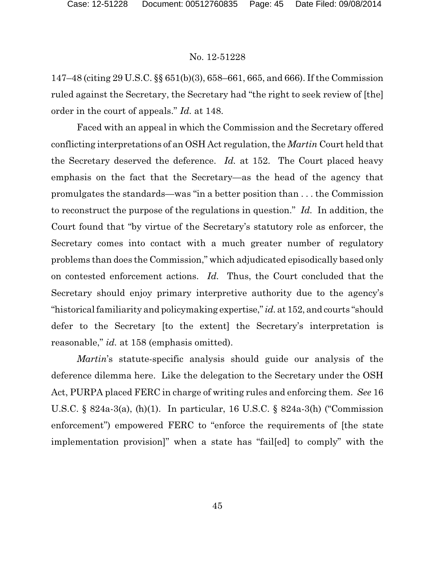147–48 (citing 29 U.S.C. §§ 651(b)(3), 658–661, 665, and 666). If the Commission ruled against the Secretary, the Secretary had "the right to seek review of [the] order in the court of appeals." *Id.* at 148.

Faced with an appeal in which the Commission and the Secretary offered conflicting interpretations of an OSH Act regulation, the *Martin* Court held that the Secretary deserved the deference. *Id.* at 152. The Court placed heavy emphasis on the fact that the Secretary—as the head of the agency that promulgates the standards—was "in a better position than . . . the Commission to reconstruct the purpose of the regulations in question." *Id.* In addition, the Court found that "by virtue of the Secretary's statutory role as enforcer, the Secretary comes into contact with a much greater number of regulatory problems than does the Commission," which adjudicated episodically based only on contested enforcement actions. *Id.* Thus, the Court concluded that the Secretary should enjoy primary interpretive authority due to the agency's "historical familiarity and policymaking expertise,"*id.* at 152, and courts "should defer to the Secretary [to the extent] the Secretary's interpretation is reasonable," *id.* at 158 (emphasis omitted).

*Martin*'s statute-specific analysis should guide our analysis of the deference dilemma here. Like the delegation to the Secretary under the OSH Act, PURPA placed FERC in charge of writing rules and enforcing them. *See* 16 U.S.C. § 824a-3(a), (h)(1). In particular, 16 U.S.C. § 824a-3(h) ("Commission enforcement") empowered FERC to "enforce the requirements of [the state implementation provision]" when a state has "fail[ed] to comply" with the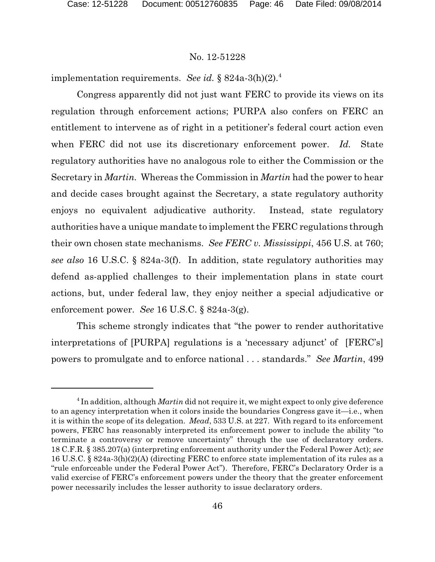implementation requirements. *See id.* § 824a-3(h)(2).<sup>4</sup>

Congress apparently did not just want FERC to provide its views on its regulation through enforcement actions; PURPA also confers on FERC an entitlement to intervene as of right in a petitioner's federal court action even when FERC did not use its discretionary enforcement power. *Id.* State regulatory authorities have no analogous role to either the Commission or the Secretary in *Martin.* Whereas the Commission in *Martin* had the power to hear and decide cases brought against the Secretary, a state regulatory authority enjoys no equivalent adjudicative authority. Instead, state regulatory authorities have a unique mandate to implement the FERC regulations through their own chosen state mechanisms. *See FERC v. Mississippi*, 456 U.S. at 760; *see also* 16 U.S.C. § 824a-3(f). In addition, state regulatory authorities may defend as-applied challenges to their implementation plans in state court actions, but, under federal law, they enjoy neither a special adjudicative or enforcement power. *See* 16 U.S.C. § 824a-3(g).

This scheme strongly indicates that "the power to render authoritative interpretations of [PURPA] regulations is a 'necessary adjunct' of [FERC's] powers to promulgate and to enforce national . . . standards." *See Martin*, 499

<sup>4</sup> In addition, although *Martin* did not require it, we might expect to only give deference to an agency interpretation when it colors inside the boundaries Congress gave it—i.e., when it is within the scope of its delegation. *Mead*, 533 U.S. at 227. With regard to its enforcement powers, FERC has reasonably interpreted its enforcement power to include the ability "to terminate a controversy or remove uncertainty" through the use of declaratory orders. 18 C.F.R. § 385.207(a) (interpreting enforcement authority under the Federal Power Act); *see* 16 U.S.C. § 824a-3(h)(2)(A) (directing FERC to enforce state implementation of its rules as a "rule enforceable under the Federal Power Act"). Therefore, FERC's Declaratory Order is a valid exercise of FERC's enforcement powers under the theory that the greater enforcement power necessarily includes the lesser authority to issue declaratory orders.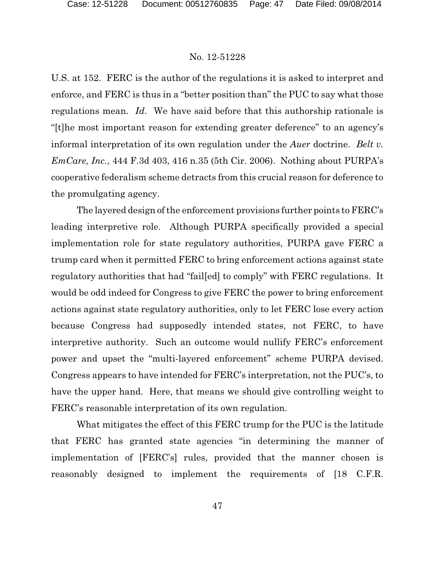U.S. at 152. FERC is the author of the regulations it is asked to interpret and enforce, and FERC is thus in a "better position than" the PUC to say what those regulations mean. *Id.* We have said before that this authorship rationale is "[t]he most important reason for extending greater deference" to an agency's informal interpretation of its own regulation under the *Auer* doctrine. *Belt v. EmCare, Inc.*, 444 F.3d 403, 416 n.35 (5th Cir. 2006). Nothing about PURPA's cooperative federalism scheme detracts from this crucial reason for deference to the promulgating agency.

The layered design of the enforcement provisions further points to FERC's leading interpretive role. Although PURPA specifically provided a special implementation role for state regulatory authorities, PURPA gave FERC a trump card when it permitted FERC to bring enforcement actions against state regulatory authorities that had "fail[ed] to comply" with FERC regulations. It would be odd indeed for Congress to give FERC the power to bring enforcement actions against state regulatory authorities, only to let FERC lose every action because Congress had supposedly intended states, not FERC, to have interpretive authority. Such an outcome would nullify FERC's enforcement power and upset the "multi-layered enforcement" scheme PURPA devised. Congress appears to have intended for FERC's interpretation, not the PUC's, to have the upper hand. Here, that means we should give controlling weight to FERC's reasonable interpretation of its own regulation.

What mitigates the effect of this FERC trump for the PUC is the latitude that FERC has granted state agencies "in determining the manner of implementation of [FERC's] rules, provided that the manner chosen is reasonably designed to implement the requirements of [18 C.F.R.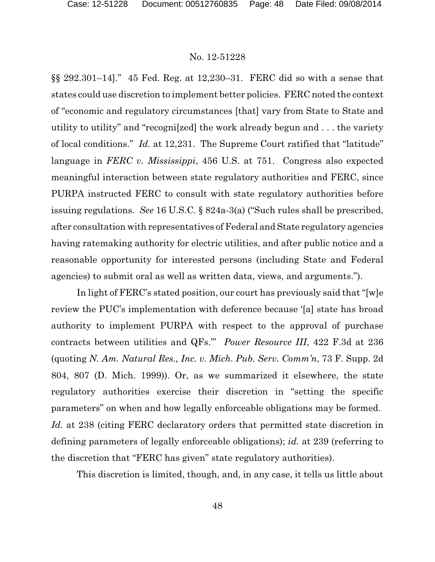§§ 292.301–14]." 45 Fed. Reg. at 12,230–31. FERC did so with a sense that states could use discretion to implement better policies. FERC noted the context of "economic and regulatory circumstances [that] vary from State to State and utility to utility" and "recogni[zed] the work already begun and . . . the variety of local conditions." *Id.* at 12,231. The Supreme Court ratified that "latitude" language in *FERC v. Mississippi*, 456 U.S. at 751. Congress also expected meaningful interaction between state regulatory authorities and FERC, since PURPA instructed FERC to consult with state regulatory authorities before issuing regulations. *See* 16 U.S.C. § 824a-3(a) ("Such rules shall be prescribed, after consultation with representatives of Federal and State regulatory agencies having ratemaking authority for electric utilities, and after public notice and a reasonable opportunity for interested persons (including State and Federal agencies) to submit oral as well as written data, views, and arguments.").

In light of FERC's stated position, our court has previously said that "[w]e review the PUC's implementation with deference because '[a] state has broad authority to implement PURPA with respect to the approval of purchase contracts between utilities and QFs.'" *Power Resource III*, 422 F.3d at 236 (quoting *N. Am. Natural Res., Inc. v. Mich. Pub. Serv. Comm'n*, 73 F. Supp. 2d 804, 807 (D. Mich. 1999)). Or, as we summarized it elsewhere, the state regulatory authorities exercise their discretion in "setting the specific parameters" on when and how legally enforceable obligations may be formed. *Id.* at 238 (citing FERC declaratory orders that permitted state discretion in defining parameters of legally enforceable obligations); *id.* at 239 (referring to the discretion that "FERC has given" state regulatory authorities).

This discretion is limited, though, and, in any case, it tells us little about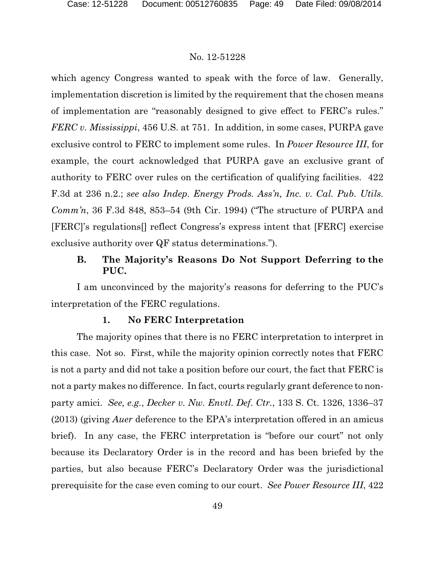which agency Congress wanted to speak with the force of law. Generally, implementation discretion is limited by the requirement that the chosen means of implementation are "reasonably designed to give effect to FERC's rules." *FERC v. Mississippi*, 456 U.S. at 751. In addition, in some cases, PURPA gave exclusive control to FERC to implement some rules. In *Power Resource III*, for example, the court acknowledged that PURPA gave an exclusive grant of authority to FERC over rules on the certification of qualifying facilities. 422 F.3d at 236 n.2.; *see also Indep. Energy Prods. Ass'n, Inc. v. Cal. Pub. Utils. Comm'n*, 36 F.3d 848, 853–54 (9th Cir. 1994) ("The structure of PURPA and [FERC]'s regulations[] reflect Congress's express intent that [FERC] exercise exclusive authority over QF status determinations.").

# **B. The Majority's Reasons Do Not Support Deferring to the PUC.**

I am unconvinced by the majority's reasons for deferring to the PUC's interpretation of the FERC regulations.

# **1. No FERC Interpretation**

The majority opines that there is no FERC interpretation to interpret in this case. Not so. First, while the majority opinion correctly notes that FERC is not a party and did not take a position before our court, the fact that FERC is not a party makes no difference. In fact, courts regularly grant deference to nonparty amici. *See, e.g.*, *Decker v. Nw. Envtl. Def. Ctr.*, 133 S. Ct. 1326, 1336–37 (2013) (giving *Auer* deference to the EPA's interpretation offered in an amicus brief). In any case, the FERC interpretation is "before our court" not only because its Declaratory Order is in the record and has been briefed by the parties, but also because FERC's Declaratory Order was the jurisdictional prerequisite for the case even coming to our court. *See Power Resource III*, 422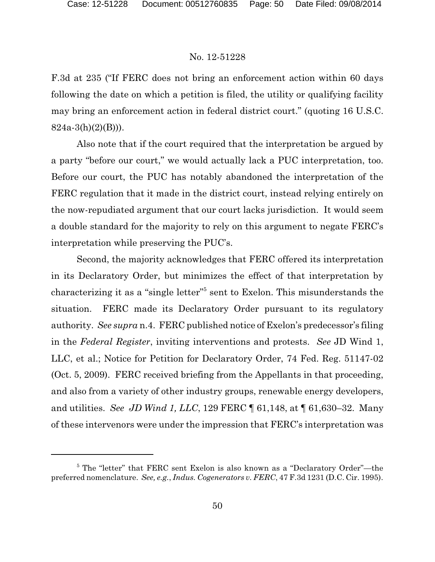F.3d at 235 ("If FERC does not bring an enforcement action within 60 days following the date on which a petition is filed, the utility or qualifying facility may bring an enforcement action in federal district court." (quoting 16 U.S.C.  $824a-3(h)(2)(B))$ .

Also note that if the court required that the interpretation be argued by a party "before our court," we would actually lack a PUC interpretation, too. Before our court, the PUC has notably abandoned the interpretation of the FERC regulation that it made in the district court, instead relying entirely on the now-repudiated argument that our court lacks jurisdiction. It would seem a double standard for the majority to rely on this argument to negate FERC's interpretation while preserving the PUC's.

Second, the majority acknowledges that FERC offered its interpretation in its Declaratory Order, but minimizes the effect of that interpretation by characterizing it as a "single letter"<sup>5</sup> sent to Exelon. This misunderstands the situation. FERC made its Declaratory Order pursuant to its regulatory authority. *See supra* n.4. FERC published notice of Exelon's predecessor's filing in the *Federal Register*, inviting interventions and protests. *See* JD Wind 1, LLC, et al.; Notice for Petition for Declaratory Order, 74 Fed. Reg. 51147-02 (Oct. 5, 2009). FERC received briefing from the Appellants in that proceeding, and also from a variety of other industry groups, renewable energy developers, and utilities. *See JD Wind 1, LLC*, 129 FERC ¶ 61,148, at ¶ 61,630–32. Many of these intervenors were under the impression that FERC's interpretation was

<sup>5</sup> The "letter" that FERC sent Exelon is also known as a "Declaratory Order"—the preferred nomenclature. *See, e.g.*, *Indus. Cogenerators v. FERC*, 47 F.3d 1231 (D.C. Cir. 1995).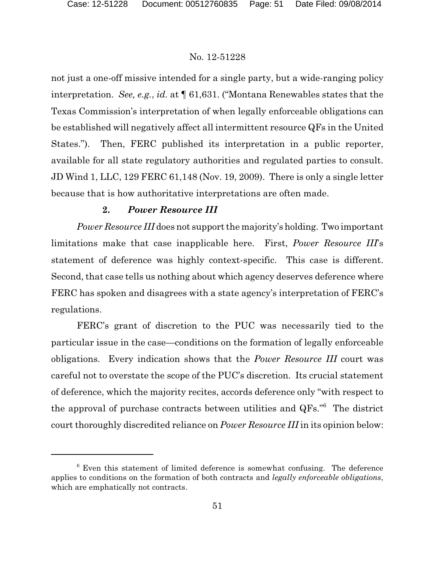not just a one-off missive intended for a single party, but a wide-ranging policy interpretation. *See, e.g.*, *id.* at ¶ 61,631. ("Montana Renewables states that the Texas Commission's interpretation of when legally enforceable obligations can be established will negatively affect all intermittent resource QFs in the United States."). Then, FERC published its interpretation in a public reporter, available for all state regulatory authorities and regulated parties to consult. JD Wind 1, LLC, 129 FERC 61,148 (Nov. 19, 2009). There is only a single letter because that is how authoritative interpretations are often made.

# **2.** *Power Resource III*

*Power Resource III* does not support the majority's holding. Two important limitations make that case inapplicable here. First, *Power Resource III*'s statement of deference was highly context-specific. This case is different. Second, that case tells us nothing about which agency deserves deference where FERC has spoken and disagrees with a state agency's interpretation of FERC's regulations.

FERC's grant of discretion to the PUC was necessarily tied to the particular issue in the case—conditions on the formation of legally enforceable obligations. Every indication shows that the *Power Resource III* court was careful not to overstate the scope of the PUC's discretion. Its crucial statement of deference, which the majority recites, accords deference only "with respect to the approval of purchase contracts between utilities and QFs."<sup>6</sup> The district court thoroughly discredited reliance on *Power Resource III* in its opinion below:

 $6$  Even this statement of limited deference is somewhat confusing. The deference applies to conditions on the formation of both contracts and *legally enforceable obligations*, which are emphatically not contracts.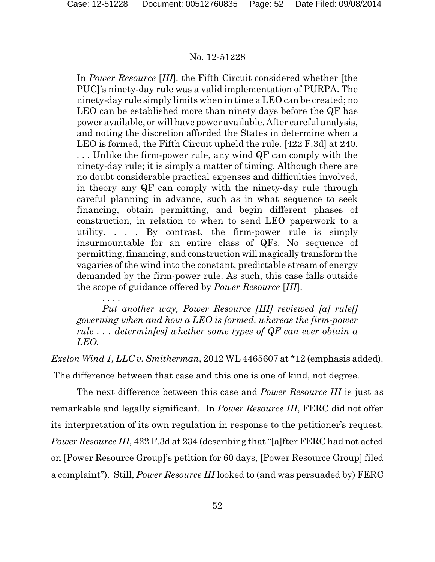. . . .

#### No. 12-51228

In *Power Resource* [*III*]*,* the Fifth Circuit considered whether [the PUC]'s ninety-day rule was a valid implementation of PURPA. The ninety-day rule simply limits when in time a LEO can be created; no LEO can be established more than ninety days before the QF has power available, or will have power available. After careful analysis, and noting the discretion afforded the States in determine when a LEO is formed, the Fifth Circuit upheld the rule. [422 F.3d] at 240. . . . Unlike the firm-power rule, any wind QF can comply with the ninety-day rule; it is simply a matter of timing. Although there are no doubt considerable practical expenses and difficulties involved, in theory any QF can comply with the ninety-day rule through careful planning in advance, such as in what sequence to seek financing, obtain permitting, and begin different phases of construction, in relation to when to send LEO paperwork to a utility. . . . By contrast, the firm-power rule is simply insurmountable for an entire class of QFs. No sequence of permitting, financing, and construction will magically transform the vagaries of the wind into the constant, predictable stream of energy demanded by the firm-power rule. As such, this case falls outside the scope of guidance offered by *Power Resource* [*III*].

*Put another way, Power Resource [III] reviewed [a] rule[] governing when and how a LEO is formed, whereas the firm-power rule . . . determin[es] whether some types of QF can ever obtain a LEO.*

*Exelon Wind 1, LLC v. Smitherman*, 2012 WL 4465607 at \*12 (emphasis added). The difference between that case and this one is one of kind, not degree.

The next difference between this case and *Power Resource III* is just as remarkable and legally significant. In *Power Resource III*, FERC did not offer its interpretation of its own regulation in response to the petitioner's request. *Power Resource III*, 422 F.3d at 234 (describing that "[a]fter FERC had not acted on [Power Resource Group]'s petition for 60 days, [Power Resource Group] filed a complaint"). Still, *Power Resource III* looked to (and was persuaded by) FERC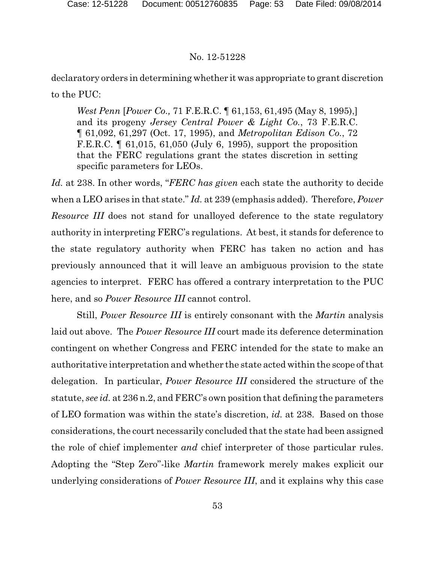declaratory orders in determining whether it was appropriate to grant discretion to the PUC:

*West Penn* [*Power Co.,* 71 F.E.R.C. ¶ 61,153, 61,495 (May 8, 1995),] and its progeny *Jersey Central Power & Light Co.*, 73 F.E.R.C. ¶ 61,092, 61,297 (Oct. 17, 1995), and *Metropolitan Edison Co.*, 72 F.E.R.C. ¶ 61,015, 61,050 (July 6, 1995), support the proposition that the FERC regulations grant the states discretion in setting specific parameters for LEOs.

*Id.* at 238. In other words, "*FERC has given* each state the authority to decide when a LEO arises in that state." *Id.* at 239 (emphasis added). Therefore, *Power Resource III* does not stand for unalloyed deference to the state regulatory authority in interpreting FERC's regulations. At best, it stands for deference to the state regulatory authority when FERC has taken no action and has previously announced that it will leave an ambiguous provision to the state agencies to interpret. FERC has offered a contrary interpretation to the PUC here, and so *Power Resource III* cannot control.

Still, *Power Resource III* is entirely consonant with the *Martin* analysis laid out above. The *Power Resource III* court made its deference determination contingent on whether Congress and FERC intended for the state to make an authoritative interpretation and whether the state acted within the scope of that delegation. In particular, *Power Resource III* considered the structure of the statute, *see id.* at 236 n.2, and FERC's own position that defining the parameters of LEO formation was within the state's discretion, *id.* at 238. Based on those considerations, the court necessarily concluded that the state had been assigned the role of chief implementer *and* chief interpreter of those particular rules. Adopting the "Step Zero"-like *Martin* framework merely makes explicit our underlying considerations of *Power Resource III*, and it explains why this case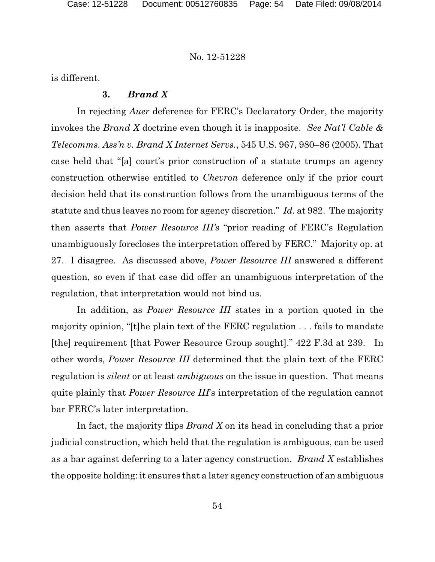is different.

# **3.** *Brand X*

In rejecting *Auer* deference for FERC's Declaratory Order, the majority invokes the *Brand X* doctrine even though it is inapposite. *See Nat'l Cable & Telecomms. Ass'n v. Brand X Internet Servs.*, 545 U.S. 967, 980–86 (2005). That case held that "[a] court's prior construction of a statute trumps an agency construction otherwise entitled to *Chevron* deference only if the prior court decision held that its construction follows from the unambiguous terms of the statute and thus leaves no room for agency discretion." *Id.* at 982. The majority then asserts that *Power Resource III's* "prior reading of FERC's Regulation unambiguously forecloses the interpretation offered by FERC." Majority op. at 27. I disagree. As discussed above, *Power Resource III* answered a different question, so even if that case did offer an unambiguous interpretation of the regulation, that interpretation would not bind us.

In addition, as *Power Resource III* states in a portion quoted in the majority opinion, "[t]he plain text of the FERC regulation . . . fails to mandate [the] requirement [that Power Resource Group sought]." 422 F.3d at 239. In other words, *Power Resource III* determined that the plain text of the FERC regulation is *silent* or at least *ambiguous* on the issue in question. That means quite plainly that *Power Resource III*'s interpretation of the regulation cannot bar FERC's later interpretation.

In fact, the majority flips *Brand X* on its head in concluding that a prior judicial construction, which held that the regulation is ambiguous, can be used as a bar against deferring to a later agency construction. *Brand X* establishes the opposite holding: it ensures that a later agency construction of an ambiguous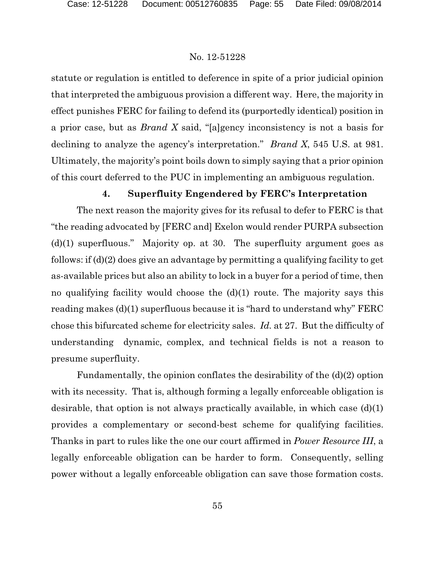statute or regulation is entitled to deference in spite of a prior judicial opinion that interpreted the ambiguous provision a different way. Here, the majority in effect punishes FERC for failing to defend its (purportedly identical) position in a prior case, but as *Brand X* said, "[a]gency inconsistency is not a basis for declining to analyze the agency's interpretation." *Brand X*, 545 U.S. at 981. Ultimately, the majority's point boils down to simply saying that a prior opinion of this court deferred to the PUC in implementing an ambiguous regulation.

# **4. Superfluity Engendered by FERC's Interpretation**

The next reason the majority gives for its refusal to defer to FERC is that "the reading advocated by [FERC and] Exelon would render PURPA subsection (d)(1) superfluous." Majority op. at 30. The superfluity argument goes as follows: if (d)(2) does give an advantage by permitting a qualifying facility to get as-available prices but also an ability to lock in a buyer for a period of time, then no qualifying facility would choose the  $(d)(1)$  route. The majority says this reading makes (d)(1) superfluous because it is "hard to understand why" FERC chose this bifurcated scheme for electricity sales. *Id.* at 27. But the difficulty of understanding dynamic, complex, and technical fields is not a reason to presume superfluity.

Fundamentally, the opinion conflates the desirability of the (d)(2) option with its necessity. That is, although forming a legally enforceable obligation is desirable, that option is not always practically available, in which case (d)(1) provides a complementary or second-best scheme for qualifying facilities. Thanks in part to rules like the one our court affirmed in *Power Resource III*, a legally enforceable obligation can be harder to form. Consequently, selling power without a legally enforceable obligation can save those formation costs.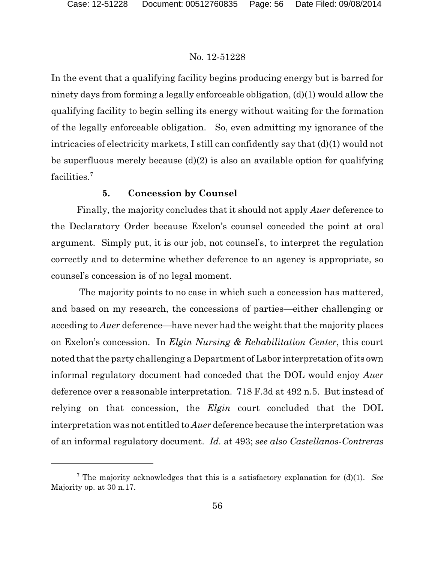In the event that a qualifying facility begins producing energy but is barred for ninety days from forming a legally enforceable obligation, (d)(1) would allow the qualifying facility to begin selling its energy without waiting for the formation of the legally enforceable obligation. So, even admitting my ignorance of the intricacies of electricity markets, I still can confidently say that (d)(1) would not be superfluous merely because (d)(2) is also an available option for qualifying facilities.<sup>7</sup>

# **5. Concession by Counsel**

Finally, the majority concludes that it should not apply *Auer* deference to the Declaratory Order because Exelon's counsel conceded the point at oral argument. Simply put, it is our job, not counsel's, to interpret the regulation correctly and to determine whether deference to an agency is appropriate, so counsel's concession is of no legal moment.

The majority points to no case in which such a concession has mattered, and based on my research, the concessions of parties—either challenging or acceding to *Auer* deference—have never had the weight that the majority places on Exelon's concession. In *Elgin Nursing & Rehabilitation Center*, this court noted that the party challenging a Department of Labor interpretation of its own informal regulatory document had conceded that the DOL would enjoy *Auer* deference over a reasonable interpretation. 718 F.3d at 492 n.5. But instead of relying on that concession, the *Elgin* court concluded that the DOL interpretation was not entitled to *Auer* deference because the interpretation was of an informal regulatory document. *Id.* at 493; *see also Castellanos-Contreras*

<sup>7</sup> The majority acknowledges that this is a satisfactory explanation for (d)(1). *See* Majority op. at 30 n.17.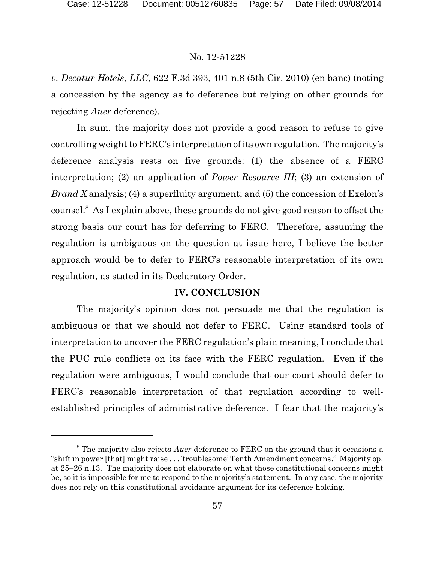*v. Decatur Hotels, LLC*, 622 F.3d 393, 401 n.8 (5th Cir. 2010) (en banc) (noting a concession by the agency as to deference but relying on other grounds for rejecting *Auer* deference).

In sum, the majority does not provide a good reason to refuse to give controlling weight to FERC's interpretation of its own regulation. The majority's deference analysis rests on five grounds: (1) the absence of a FERC interpretation; (2) an application of *Power Resource III*; (3) an extension of *Brand X* analysis; (4) a superfluity argument; and (5) the concession of Exelon's counsel.<sup>8</sup> As I explain above, these grounds do not give good reason to offset the strong basis our court has for deferring to FERC. Therefore, assuming the regulation is ambiguous on the question at issue here, I believe the better approach would be to defer to FERC's reasonable interpretation of its own regulation, as stated in its Declaratory Order.

# **IV. CONCLUSION**

The majority's opinion does not persuade me that the regulation is ambiguous or that we should not defer to FERC. Using standard tools of interpretation to uncover the FERC regulation's plain meaning, I conclude that the PUC rule conflicts on its face with the FERC regulation. Even if the regulation were ambiguous, I would conclude that our court should defer to FERC's reasonable interpretation of that regulation according to wellestablished principles of administrative deference. I fear that the majority's

<sup>8</sup> The majority also rejects *Auer* deference to FERC on the ground that it occasions a "shift in power [that] might raise . . . 'troublesome' Tenth Amendment concerns." Majority op. at 25–26 n.13. The majority does not elaborate on what those constitutional concerns might be, so it is impossible for me to respond to the majority's statement. In any case, the majority does not rely on this constitutional avoidance argument for its deference holding.